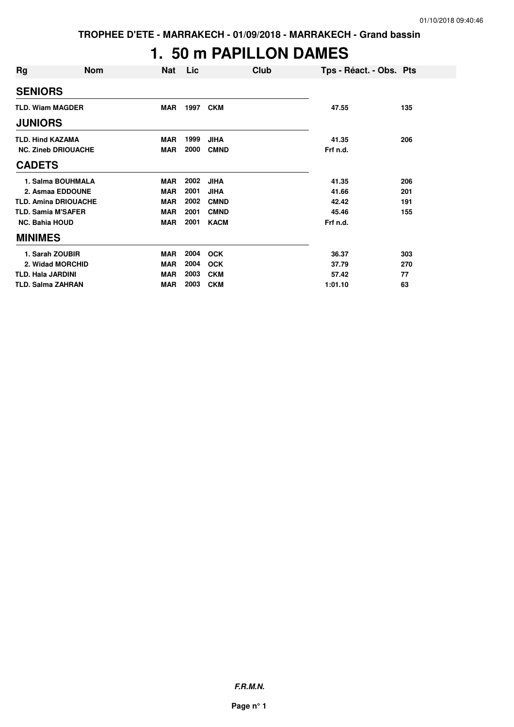## **1. 50 m PAPILLON DAMES**

| Rg                        | <b>Nom</b>                  | Nat        | Lic  | Club        | Tps - Réact. - Obs. Pts |     |
|---------------------------|-----------------------------|------------|------|-------------|-------------------------|-----|
| <b>SENIORS</b>            |                             |            |      |             |                         |     |
| <b>TLD. Wiam MAGDER</b>   |                             | <b>MAR</b> | 1997 | <b>CKM</b>  | 47.55                   | 135 |
| <b>JUNIORS</b>            |                             |            |      |             |                         |     |
| <b>TLD. Hind KAZAMA</b>   |                             | <b>MAR</b> | 1999 | <b>JIHA</b> | 41.35                   | 206 |
|                           | <b>NC. Zineb DRIOUACHE</b>  | <b>MAR</b> | 2000 | <b>CMND</b> | Frf n.d.                |     |
| <b>CADETS</b>             |                             |            |      |             |                         |     |
|                           | 1. Salma BOUHMALA           | <b>MAR</b> | 2002 | <b>JIHA</b> | 41.35                   | 206 |
|                           | 2. Asmaa EDDOUNE            | <b>MAR</b> | 2001 | <b>JIHA</b> | 41.66                   | 201 |
|                           | <b>TLD. Amina DRIOUACHE</b> | <b>MAR</b> | 2002 | <b>CMND</b> | 42.42                   | 191 |
| <b>TLD. Samia M'SAFER</b> |                             | <b>MAR</b> | 2001 | <b>CMND</b> | 45.46                   | 155 |
| <b>NC. Bahia HOUD</b>     |                             | <b>MAR</b> | 2001 | <b>KACM</b> | Frf n.d.                |     |
| <b>MINIMES</b>            |                             |            |      |             |                         |     |
| 1. Sarah ZOUBIR           |                             | <b>MAR</b> | 2004 | <b>OCK</b>  | 36.37                   | 303 |
|                           | 2. Widad MORCHID            | MAR        | 2004 | <b>OCK</b>  | 37.79                   | 270 |
| <b>TLD. Hala JARDINI</b>  |                             | <b>MAR</b> | 2003 | <b>CKM</b>  | 57.42                   | 77  |
| <b>TLD. Salma ZAHRAN</b>  |                             | <b>MAR</b> | 2003 | <b>CKM</b>  | 1:01.10                 | 63  |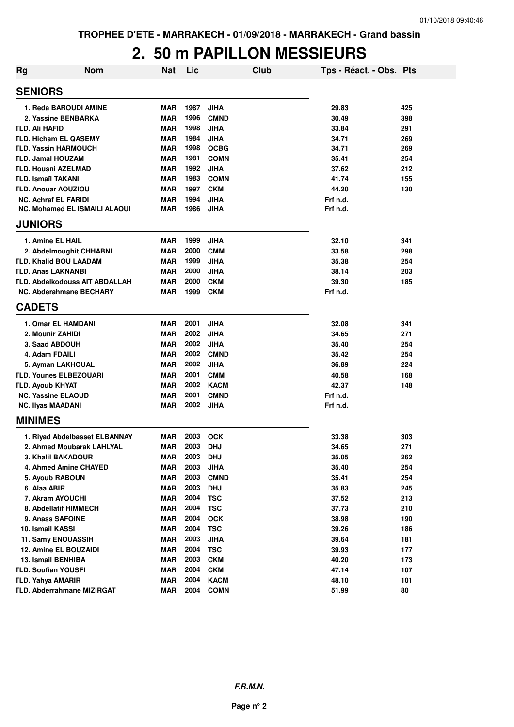## **2. 50 m PAPILLON MESSIEURS**

| <b>Rg</b> | <b>Nom</b>                            | <b>Nat</b> | Lic  |             | Club | Tps - Réact. - Obs. Pts |     |
|-----------|---------------------------------------|------------|------|-------------|------|-------------------------|-----|
|           | <b>SENIORS</b>                        |            |      |             |      |                         |     |
|           | 1. Reda BAROUDI AMINE                 | <b>MAR</b> | 1987 | <b>JIHA</b> |      | 29.83                   | 425 |
|           | 2. Yassine BENBARKA                   | <b>MAR</b> | 1996 | <b>CMND</b> |      | 30.49                   | 398 |
|           | <b>TLD. Ali HAFID</b>                 | <b>MAR</b> | 1998 | JIHA        |      | 33.84                   | 291 |
|           | <b>TLD. Hicham EL QASEMY</b>          | <b>MAR</b> | 1984 | <b>JIHA</b> |      | 34.71                   | 269 |
|           | <b>TLD. Yassin HARMOUCH</b>           | <b>MAR</b> | 1998 | <b>OCBG</b> |      | 34.71                   | 269 |
|           | <b>TLD. Jamal HOUZAM</b>              | <b>MAR</b> | 1981 | <b>COMN</b> |      | 35.41                   | 254 |
|           | <b>TLD. Housni AZELMAD</b>            | <b>MAR</b> | 1992 | <b>JIHA</b> |      | 37.62                   | 212 |
|           | <b>TLD. Ismaïl TAKANI</b>             | <b>MAR</b> | 1983 | <b>COMN</b> |      | 41.74                   | 155 |
|           | <b>TLD. Anouar AOUZIOU</b>            | <b>MAR</b> | 1997 | <b>CKM</b>  |      | 44.20                   | 130 |
|           | <b>NC. Achraf EL FARIDI</b>           | <b>MAR</b> | 1994 | <b>JIHA</b> |      | Frf n.d.                |     |
|           | <b>NC. Mohamed EL ISMAILI ALAOUI</b>  | MAR        | 1986 | <b>JIHA</b> |      | Frf n.d.                |     |
|           | <b>JUNIORS</b>                        |            |      |             |      |                         |     |
|           | 1. Amine EL HAIL                      | MAR        | 1999 | <b>JIHA</b> |      | 32.10                   | 341 |
|           | 2. Abdelmoughit CHHABNI               | <b>MAR</b> | 2000 | <b>CMM</b>  |      | 33.58                   | 298 |
|           | <b>TLD. Khalid BOU LAADAM</b>         | MAR        | 1999 | <b>JIHA</b> |      | 35.38                   | 254 |
|           | <b>TLD. Anas LAKNANBI</b>             | MAR        | 2000 | <b>JIHA</b> |      | 38.14                   | 203 |
|           | <b>TLD. Abdelkodouss AIT ABDALLAH</b> | <b>MAR</b> | 2000 | <b>CKM</b>  |      | 39.30                   | 185 |
|           | <b>NC. Abderahmane BECHARY</b>        | MAR        | 1999 | <b>CKM</b>  |      | Frf n.d.                |     |
|           | <b>CADETS</b>                         |            |      |             |      |                         |     |
|           | <b>1. Omar EL HAMDANI</b>             | <b>MAR</b> | 2001 | <b>JIHA</b> |      | 32.08                   | 341 |
|           | 2. Mounir ZAHIDI                      | <b>MAR</b> | 2002 | <b>JIHA</b> |      | 34.65                   | 271 |
|           | 3. Saad ABDOUH                        | <b>MAR</b> | 2002 | <b>JIHA</b> |      | 35.40                   | 254 |
|           | 4. Adam FDAILI                        | <b>MAR</b> | 2002 | <b>CMND</b> |      | 35.42                   | 254 |
|           | 5. Ayman LAKHOUAL                     | <b>MAR</b> | 2002 | <b>JIHA</b> |      | 36.89                   | 224 |
|           | <b>TLD. Younes ELBEZOUARI</b>         | <b>MAR</b> | 2001 | <b>CMM</b>  |      | 40.58                   | 168 |
|           | <b>TLD. Ayoub KHYAT</b>               | <b>MAR</b> | 2002 | <b>KACM</b> |      | 42.37                   | 148 |
|           | <b>NC. Yassine ELAOUD</b>             | <b>MAR</b> | 2001 | <b>CMND</b> |      | Frf n.d.                |     |
|           | <b>NC. Ilyas MAADANI</b>              | <b>MAR</b> | 2002 | <b>JIHA</b> |      | Frf n.d.                |     |
|           | <b>MINIMES</b>                        |            |      |             |      |                         |     |
|           | 1. Rivad Abdelbasset ELBANNAY         | <b>MAR</b> | 2003 | <b>OCK</b>  |      | 33.38                   | 303 |
|           | 2. Ahmed Moubarak LAHLYAL             | <b>MAR</b> | 2003 | <b>DHJ</b>  |      | 34.65                   | 271 |
|           | 3. Khalil BAKADOUR                    | MAR        | 2003 | <b>DHJ</b>  |      | 35.05                   | 262 |
|           | 4. Ahmed Amine CHAYED                 | <b>MAR</b> | 2003 | <b>JIHA</b> |      | 35.40                   | 254 |
|           | 5. Ayoub RABOUN                       | MAR        | 2003 | <b>CMND</b> |      | 35.41                   | 254 |
|           | 6. Alaa ABIR                          | MAR        | 2003 | <b>DHJ</b>  |      | 35.83                   | 245 |
|           | 7. Akram AYOUCHI                      | <b>MAR</b> | 2004 | <b>TSC</b>  |      | 37.52                   | 213 |
|           | 8. Abdellatif HIMMECH                 | MAR        | 2004 | <b>TSC</b>  |      | 37.73                   | 210 |
|           | 9. Anass SAFOINE                      | <b>MAR</b> | 2004 | <b>OCK</b>  |      | 38.98                   | 190 |
|           | 10. Ismail KASSI                      | <b>MAR</b> | 2004 | <b>TSC</b>  |      | 39.26                   | 186 |
|           | 11. Samy ENOUASSIH                    | <b>MAR</b> | 2003 | <b>JIHA</b> |      | 39.64                   | 181 |
|           | 12. Amine EL BOUZAIDI                 | <b>MAR</b> | 2004 | <b>TSC</b>  |      | 39.93                   | 177 |
|           | 13. Ismail BENHIBA                    | <b>MAR</b> | 2003 | <b>CKM</b>  |      | 40.20                   | 173 |
|           | <b>TLD. Soufian YOUSFI</b>            | <b>MAR</b> | 2004 | <b>CKM</b>  |      | 47.14                   | 107 |
|           | <b>TLD. Yahya AMARIR</b>              | <b>MAR</b> | 2004 | <b>KACM</b> |      | 48.10                   | 101 |
|           | TLD. Abderrahmane MIZIRGAT            | <b>MAR</b> | 2004 | <b>COMN</b> |      | 51.99                   | 80  |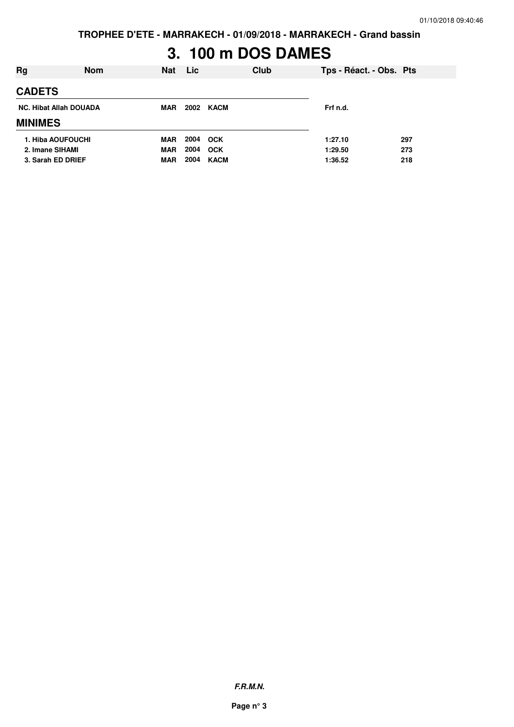**TROPHEE D'ETE - MARRAKECH - 01/09/2018 - MARRAKECH - Grand bassin**

# **3. 100 m DOS DAMES**

| <b>Rg</b>                     | <b>Nom</b> | <b>Nat</b> | <b>Lic</b> | Club       | Tps - Réact. - Obs. Pts |     |
|-------------------------------|------------|------------|------------|------------|-------------------------|-----|
| <b>CADETS</b>                 |            |            |            |            |                         |     |
| <b>NC. Hibat Allah DOUADA</b> |            | MAR        |            | 2002 KACM  | Frf n.d.                |     |
| <b>MINIMES</b>                |            |            |            |            |                         |     |
| 1. Hiba AOUFOUCHI             |            | <b>MAR</b> |            | 2004 OCK   | 1:27.10                 | 297 |
| 2. Imane SIHAMI               |            | <b>MAR</b> | 2004       | <b>OCK</b> | 1:29.50                 | 273 |
| 3. Sarah ED DRIEF             |            | <b>MAR</b> | 2004       | KACM       | 1:36.52                 | 218 |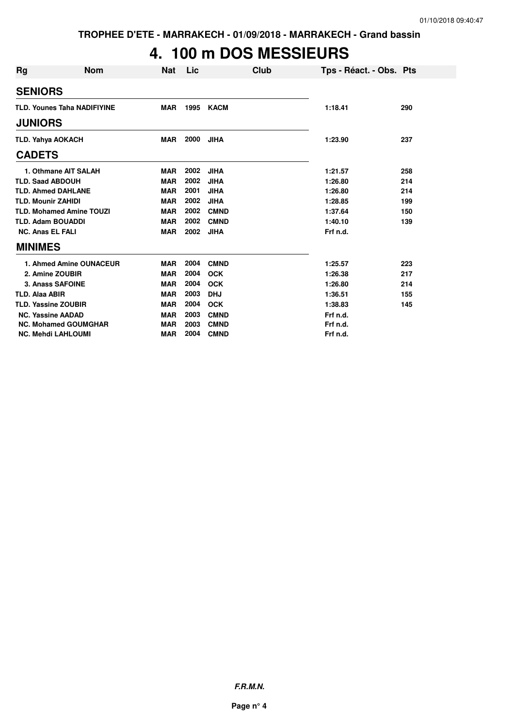# **4. 100 m DOS MESSIEURS**

| <b>Rg</b> | <b>Nom</b>                         | <b>Nat</b> | Lic  | Club        | Tps - Réact. - Obs. Pts |     |
|-----------|------------------------------------|------------|------|-------------|-------------------------|-----|
|           | <b>SENIORS</b>                     |            |      |             |                         |     |
|           | <b>TLD. Younes Taha NADIFIYINE</b> | <b>MAR</b> | 1995 | <b>KACM</b> | 1:18.41                 | 290 |
|           | <b>JUNIORS</b>                     |            |      |             |                         |     |
|           | <b>TLD. Yahya AOKACH</b>           | MAR        | 2000 | <b>JIHA</b> | 1:23.90                 | 237 |
|           | <b>CADETS</b>                      |            |      |             |                         |     |
|           | 1. Othmane AIT SALAH               | <b>MAR</b> | 2002 | <b>JIHA</b> | 1:21.57                 | 258 |
|           | <b>TLD. Saad ABDOUH</b>            | <b>MAR</b> | 2002 | <b>JIHA</b> | 1:26.80                 | 214 |
|           | <b>TLD. Ahmed DAHLANE</b>          | <b>MAR</b> | 2001 | <b>JIHA</b> | 1:26.80                 | 214 |
|           | <b>TLD. Mounir ZAHIDI</b>          | <b>MAR</b> | 2002 | <b>JIHA</b> | 1:28.85                 | 199 |
|           | <b>TLD. Mohamed Amine TOUZI</b>    | <b>MAR</b> | 2002 | <b>CMND</b> | 1:37.64                 | 150 |
|           | <b>TLD. Adam BOUADDI</b>           | <b>MAR</b> | 2002 | <b>CMND</b> | 1:40.10                 | 139 |
|           | <b>NC. Anas EL FALI</b>            | <b>MAR</b> | 2002 | <b>JIHA</b> | Frf n.d.                |     |
|           | <b>MINIMES</b>                     |            |      |             |                         |     |
|           | 1. Ahmed Amine OUNACEUR            | <b>MAR</b> | 2004 | <b>CMND</b> | 1:25.57                 | 223 |
|           | 2. Amine ZOUBIR                    | <b>MAR</b> | 2004 | <b>OCK</b>  | 1:26.38                 | 217 |
|           | <b>3. Anass SAFOINE</b>            | <b>MAR</b> | 2004 | <b>OCK</b>  | 1:26.80                 | 214 |
|           | <b>TLD. Alaa ABIR</b>              | <b>MAR</b> | 2003 | <b>DHJ</b>  | 1:36.51                 | 155 |
|           | <b>TLD. Yassine ZOUBIR</b>         | <b>MAR</b> | 2004 | <b>OCK</b>  | 1:38.83                 | 145 |
|           | <b>NC. Yassine AADAD</b>           | <b>MAR</b> | 2003 | <b>CMND</b> | Frf n.d.                |     |
|           | <b>NC. Mohamed GOUMGHAR</b>        | <b>MAR</b> | 2003 | <b>CMND</b> | Frf n.d.                |     |
|           | <b>NC. Mehdi LAHLOUMI</b>          | <b>MAR</b> | 2004 | <b>CMND</b> | Frf n.d.                |     |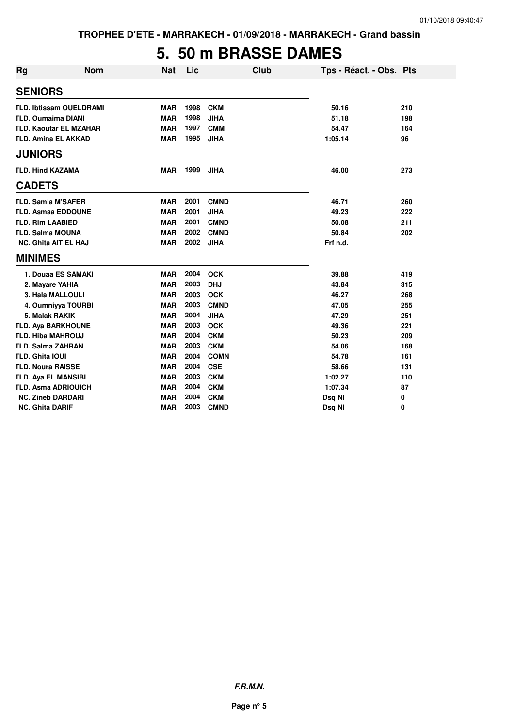## **5. 50 m BRASSE DAMES**

| Rg                       | <b>Nom</b>                     | <b>Nat</b> | Lic  |             | <b>Club</b> | Tps - Réact. - Obs. Pts |     |
|--------------------------|--------------------------------|------------|------|-------------|-------------|-------------------------|-----|
| <b>SENIORS</b>           |                                |            |      |             |             |                         |     |
|                          | <b>TLD. Ibtissam OUELDRAMI</b> | <b>MAR</b> | 1998 | <b>CKM</b>  |             | 50.16                   | 210 |
|                          | <b>TLD. Oumaima DIANI</b>      | <b>MAR</b> | 1998 | <b>JIHA</b> |             | 51.18                   | 198 |
|                          | <b>TLD. Kaoutar EL MZAHAR</b>  | <b>MAR</b> | 1997 | <b>CMM</b>  |             | 54.47                   | 164 |
|                          | <b>TLD. Amina EL AKKAD</b>     | <b>MAR</b> | 1995 | <b>JIHA</b> |             | 1:05.14                 | 96  |
| <b>JUNIORS</b>           |                                |            |      |             |             |                         |     |
| <b>TLD. Hind KAZAMA</b>  |                                | <b>MAR</b> | 1999 | <b>JIHA</b> |             | 46.00                   | 273 |
| <b>CADETS</b>            |                                |            |      |             |             |                         |     |
|                          | <b>TLD. Samia M'SAFER</b>      | <b>MAR</b> | 2001 | <b>CMND</b> |             | 46.71                   | 260 |
|                          | <b>TLD. Asmaa EDDOUNE</b>      | <b>MAR</b> | 2001 | <b>JIHA</b> |             | 49.23                   | 222 |
| <b>TLD. Rim LAABIED</b>  |                                | <b>MAR</b> | 2001 | <b>CMND</b> |             | 50.08                   | 211 |
| <b>TLD. Salma MOUNA</b>  |                                | <b>MAR</b> | 2002 | <b>CMND</b> |             | 50.84                   | 202 |
|                          | <b>NC. Ghita AIT EL HAJ</b>    | <b>MAR</b> | 2002 | <b>JIHA</b> |             | Frf n.d.                |     |
| <b>MINIMES</b>           |                                |            |      |             |             |                         |     |
|                          | 1. Douaa ES SAMAKI             | <b>MAR</b> | 2004 | <b>OCK</b>  |             | 39.88                   | 419 |
|                          | 2. Mayare YAHIA                | <b>MAR</b> | 2003 | <b>DHJ</b>  |             | 43.84                   | 315 |
|                          | 3. Hala MALLOULI               | <b>MAR</b> | 2003 | <b>OCK</b>  |             | 46.27                   | 268 |
|                          | 4. Oumniyya TOURBI             | <b>MAR</b> | 2003 | <b>CMND</b> |             | 47.05                   | 255 |
|                          | 5. Malak RAKIK                 | <b>MAR</b> | 2004 | <b>JIHA</b> |             | 47.29                   | 251 |
|                          | <b>TLD. Aya BARKHOUNE</b>      | <b>MAR</b> | 2003 | <b>OCK</b>  |             | 49.36                   | 221 |
|                          | <b>TLD. Hiba MAHROUJ</b>       | <b>MAR</b> | 2004 | <b>CKM</b>  |             | 50.23                   | 209 |
|                          | <b>TLD. Salma ZAHRAN</b>       | <b>MAR</b> | 2003 | <b>CKM</b>  |             | 54.06                   | 168 |
| <b>TLD. Ghita IOUI</b>   |                                | <b>MAR</b> | 2004 | <b>COMN</b> |             | 54.78                   | 161 |
| <b>TLD. Noura RAISSE</b> |                                | <b>MAR</b> | 2004 | <b>CSE</b>  |             | 58.66                   | 131 |
|                          | <b>TLD. Aya EL MANSIBI</b>     | <b>MAR</b> | 2003 | <b>CKM</b>  |             | 1:02.27                 | 110 |
|                          | <b>TLD. Asma ADRIOUICH</b>     | <b>MAR</b> | 2004 | <b>CKM</b>  |             | 1:07.34                 | 87  |
|                          | <b>NC. Zineb DARDARI</b>       | <b>MAR</b> | 2004 | <b>CKM</b>  |             | Dsq NI                  | 0   |
| <b>NC. Ghita DARIF</b>   |                                | <b>MAR</b> | 2003 | <b>CMND</b> |             | Dsq NI                  | 0   |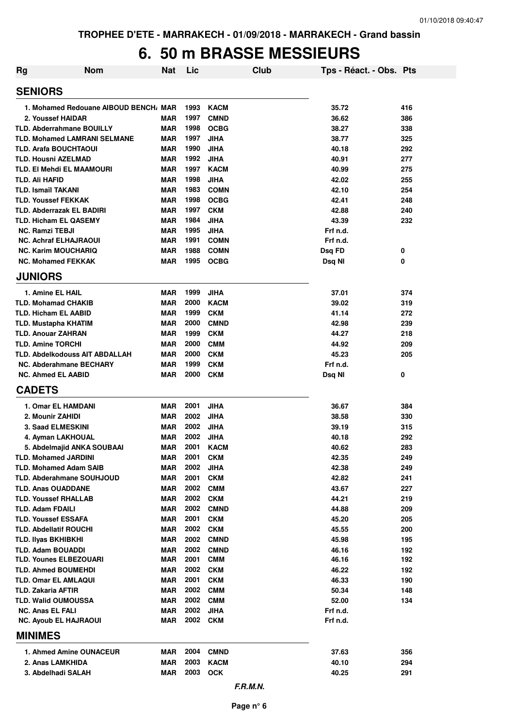## **6. 50 m BRASSE MESSIEURS**

| Rg                                                       | <b>Nom</b>                            | Nat                      | Lic          |                           | Club | Tps - Réact. - Obs. Pts |            |
|----------------------------------------------------------|---------------------------------------|--------------------------|--------------|---------------------------|------|-------------------------|------------|
| <b>SENIORS</b>                                           |                                       |                          |              |                           |      |                         |            |
|                                                          | 1. Mohamed Redouane AIBOUD BENCH, MAR |                          | 1993         | <b>KACM</b>               |      | 35.72                   | 416        |
| 2. Youssef HAIDAR                                        |                                       | <b>MAR</b>               | 1997         | <b>CMND</b>               |      | 36.62                   | 386        |
| <b>TLD. Abderrahmane BOUILLY</b>                         |                                       | <b>MAR</b>               | 1998         | <b>OCBG</b>               |      | 38.27                   | 338        |
| <b>TLD. Mohamed LAMRANI SELMANE</b>                      |                                       | <b>MAR</b>               | 1997         | <b>JIHA</b>               |      | 38.77                   | 325        |
| <b>TLD. Arafa BOUCHTAOUI</b>                             |                                       | <b>MAR</b>               | 1990         | <b>JIHA</b>               |      | 40.18                   | 292        |
| <b>TLD. Housni AZELMAD</b>                               |                                       | <b>MAR</b>               | 1992         | <b>JIHA</b>               |      | 40.91                   | 277        |
| <b>TLD. EI Mehdi EL MAAMOURI</b>                         |                                       | <b>MAR</b>               | 1997         | <b>KACM</b>               |      | 40.99                   | 275        |
| <b>TLD. Ali HAFID</b>                                    |                                       | <b>MAR</b>               | 1998         | <b>JIHA</b>               |      | 42.02                   | 255        |
| <b>TLD. Ismaïl TAKANI</b>                                |                                       | <b>MAR</b>               | 1983         | <b>COMN</b>               |      | 42.10                   | 254        |
| <b>TLD. Youssef FEKKAK</b>                               |                                       | <b>MAR</b>               | 1998         | <b>OCBG</b>               |      | 42.41                   | 248        |
| <b>TLD. Abderrazak EL BADIRI</b>                         |                                       | <b>MAR</b>               | 1997         | <b>CKM</b>                |      | 42.88                   | 240        |
| <b>TLD. Hicham EL QASEMY</b>                             |                                       | <b>MAR</b>               | 1984         | <b>JIHA</b>               |      | 43.39                   | 232        |
| <b>NC. Ramzi TEBJI</b>                                   |                                       | <b>MAR</b>               | 1995         | <b>JIHA</b>               |      | Frf n.d.                |            |
| <b>NC. Achraf ELHAJRAOUI</b>                             |                                       | <b>MAR</b>               | 1991<br>1988 | <b>COMN</b>               |      | Frf n.d.                |            |
| <b>NC. Karim MOUCHARIQ</b>                               |                                       | <b>MAR</b><br><b>MAR</b> | 1995         | <b>COMN</b>               |      | Dsq FD                  | 0          |
| <b>NC. Mohamed FEKKAK</b>                                |                                       |                          |              | <b>OCBG</b>               |      | Dsg NI                  | 0          |
| <b>JUNIORS</b>                                           |                                       |                          |              |                           |      |                         |            |
| 1. Amine EL HAIL                                         |                                       | <b>MAR</b>               | 1999         | <b>JIHA</b>               |      | 37.01                   | 374        |
| <b>TLD. Mohamad CHAKIB</b>                               |                                       | <b>MAR</b>               | 2000<br>1999 | <b>KACM</b>               |      | 39.02                   | 319        |
| <b>TLD. Hicham EL AABID</b>                              |                                       | <b>MAR</b><br><b>MAR</b> | 2000         | <b>CKM</b><br><b>CMND</b> |      | 41.14<br>42.98          | 272<br>239 |
| <b>TLD. Mustapha KHATIM</b><br><b>TLD. Anouar ZAHRAN</b> |                                       | <b>MAR</b>               | 1999         | <b>CKM</b>                |      | 44.27                   | 218        |
| <b>TLD. Amine TORCHI</b>                                 |                                       | <b>MAR</b>               | 2000         | <b>CMM</b>                |      | 44.92                   | 209        |
| <b>TLD. Abdelkodouss AIT ABDALLAH</b>                    |                                       | <b>MAR</b>               | 2000         | <b>CKM</b>                |      | 45.23                   | 205        |
| NC. Abderahmane BECHARY                                  |                                       | <b>MAR</b>               | 1999         | <b>CKM</b>                |      | Frf n.d.                |            |
| <b>NC. Ahmed EL AABID</b>                                |                                       | <b>MAR</b>               | 2000         | <b>CKM</b>                |      | Dsq NI                  | 0          |
| <b>CADETS</b>                                            |                                       |                          |              |                           |      |                         |            |
| 1. Omar EL HAMDANI                                       |                                       | <b>MAR</b>               | 2001         | <b>JIHA</b>               |      | 36.67                   | 384        |
| 2. Mounir ZAHIDI                                         |                                       | <b>MAR</b>               | 2002         | <b>JIHA</b>               |      | 38.58                   | 330        |
| 3. Saad ELMESKINI                                        |                                       | <b>MAR</b>               | 2002         | <b>JIHA</b>               |      | 39.19                   | 315        |
| 4. Ayman LAKHOUAL                                        |                                       | <b>MAR</b>               | 2002         | <b>JIHA</b>               |      | 40.18                   | 292        |
| 5. Abdelmajid ANKA SOUBAAI                               |                                       | <b>MAR</b>               | 2001         | <b>KACM</b>               |      | 40.62                   | 283        |
| <b>TLD. Mohamed JARDINI</b>                              |                                       | <b>MAR</b>               | 2001         | <b>CKM</b>                |      | 42.35                   | 249        |
| <b>TLD. Mohamed Adam SAIB</b>                            |                                       | <b>MAR</b>               | 2002         | <b>JIHA</b>               |      | 42.38                   | 249        |
| <b>TLD. Abderahmane SOUHJOUD</b>                         |                                       | <b>MAR</b>               | 2001         | <b>CKM</b>                |      | 42.82                   | 241        |
| <b>TLD. Anas OUADDANE</b>                                |                                       | <b>MAR</b>               | 2002         | <b>CMM</b>                |      | 43.67                   | 227        |
| <b>TLD. Youssef RHALLAB</b>                              |                                       | <b>MAR</b>               | 2002         | <b>CKM</b>                |      | 44.21                   | 219        |
| <b>TLD. Adam FDAILI</b>                                  |                                       | <b>MAR</b>               | 2002         | <b>CMND</b>               |      | 44.88                   | 209        |
| <b>TLD. Youssef ESSAFA</b>                               |                                       | <b>MAR</b>               | 2001         | <b>CKM</b>                |      | 45.20                   | 205        |
| <b>TLD. Abdellatif ROUCHI</b>                            |                                       | <b>MAR</b>               | 2002         | <b>CKM</b>                |      | 45.55                   | 200        |
| <b>TLD. IIvas BKHIBKHI</b>                               |                                       | <b>MAR</b>               | 2002         | <b>CMND</b>               |      | 45.98                   | 195        |
| <b>TLD. Adam BOUADDI</b>                                 |                                       | <b>MAR</b>               | 2002         | <b>CMND</b>               |      | 46.16                   | 192        |
| <b>TLD. Younes ELBEZOUARI</b>                            |                                       | <b>MAR</b>               | 2001         | <b>CMM</b>                |      | 46.16                   | 192        |
| <b>TLD. Ahmed BOUMEHDI</b>                               |                                       | <b>MAR</b>               | 2002         | <b>CKM</b>                |      | 46.22                   | 192        |
| <b>TLD. Omar EL AMLAQUI</b>                              |                                       | <b>MAR</b>               | 2001         | <b>CKM</b>                |      | 46.33                   | 190        |
| <b>TLD. Zakaria AFTIR</b>                                |                                       | <b>MAR</b>               | 2002         | <b>CMM</b>                |      | 50.34                   | 148        |
| <b>TLD. Walid OUMOUSSA</b>                               |                                       | <b>MAR</b>               | 2002         | <b>CMM</b>                |      | 52.00                   | 134        |
| <b>NC. Anas EL FALI</b>                                  |                                       | <b>MAR</b>               | 2002         | <b>JIHA</b>               |      | Frf n.d.                |            |
| <b>NC. Ayoub EL HAJRAOUI</b>                             |                                       | <b>MAR</b>               | 2002         | <b>CKM</b>                |      | Frf n.d.                |            |
| <b>MINIMES</b>                                           |                                       |                          |              |                           |      |                         |            |
| 1. Ahmed Amine OUNACEUR                                  |                                       | <b>MAR</b>               | 2004         | <b>CMND</b>               |      | 37.63                   | 356        |
| 2. Anas LAMKHIDA                                         |                                       | <b>MAR</b>               | 2003         | <b>KACM</b>               |      | 40.10                   | 294        |
| 3. Abdelhadi SALAH                                       |                                       | <b>MAR</b>               | 2003         | <b>OCK</b>                |      | 40.25                   | 291        |
|                                                          |                                       |                          |              |                           |      |                         |            |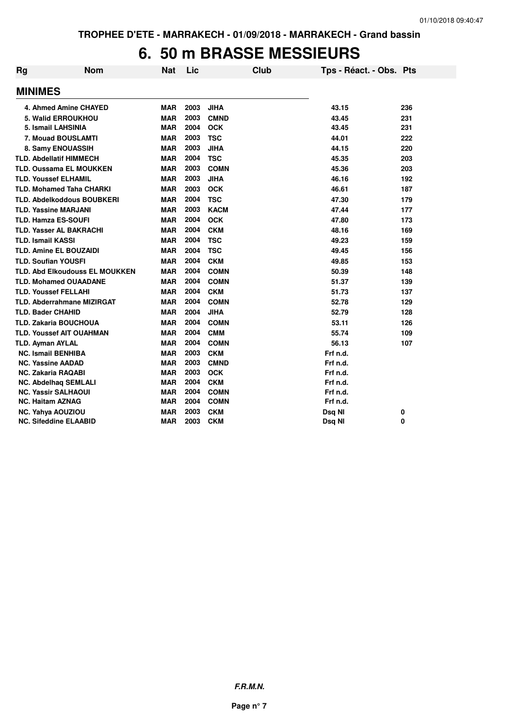## **6. 50 m BRASSE MESSIEURS**

| Rg | <b>Nom</b>                            | Nat        | Lic  |             | Club | Tps - Réact. - Obs. Pts |     |
|----|---------------------------------------|------------|------|-------------|------|-------------------------|-----|
|    | <b>MINIMES</b>                        |            |      |             |      |                         |     |
|    | 4. Ahmed Amine CHAYED                 | <b>MAR</b> | 2003 | <b>JIHA</b> |      | 43.15                   | 236 |
|    | 5. Walid ERROUKHOU                    | <b>MAR</b> | 2003 | <b>CMND</b> |      | 43.45                   | 231 |
|    | 5. Ismail LAHSINIA                    | <b>MAR</b> | 2004 | <b>OCK</b>  |      | 43.45                   | 231 |
|    | 7. Mouad BOUSLAMTI                    | <b>MAR</b> | 2003 | <b>TSC</b>  |      | 44.01                   | 222 |
|    | 8. Samy ENOUASSIH                     | <b>MAR</b> | 2003 | <b>JIHA</b> |      | 44.15                   | 220 |
|    | <b>TLD. Abdellatif HIMMECH</b>        | <b>MAR</b> | 2004 | <b>TSC</b>  |      | 45.35                   | 203 |
|    | <b>TLD. Oussama EL MOUKKEN</b>        | MAR        | 2003 | <b>COMN</b> |      | 45.36                   | 203 |
|    | <b>TLD. Youssef ELHAMIL</b>           | <b>MAR</b> | 2003 | <b>JIHA</b> |      | 46.16                   | 192 |
|    | <b>TLD. Mohamed Taha CHARKI</b>       | <b>MAR</b> | 2003 | <b>OCK</b>  |      | 46.61                   | 187 |
|    | <b>TLD. Abdelkoddous BOUBKERI</b>     | <b>MAR</b> | 2004 | <b>TSC</b>  |      | 47.30                   | 179 |
|    | <b>TLD. Yassine MARJANI</b>           | <b>MAR</b> | 2003 | <b>KACM</b> |      | 47.44                   | 177 |
|    | <b>TLD. Hamza ES-SOUFI</b>            | <b>MAR</b> | 2004 | <b>OCK</b>  |      | 47.80                   | 173 |
|    | <b>TLD. Yasser AL BAKRACHI</b>        | <b>MAR</b> | 2004 | <b>CKM</b>  |      | 48.16                   | 169 |
|    | <b>TLD. Ismail KASSI</b>              | <b>MAR</b> | 2004 | <b>TSC</b>  |      | 49.23                   | 159 |
|    | <b>TLD. Amine EL BOUZAIDI</b>         | <b>MAR</b> | 2004 | <b>TSC</b>  |      | 49.45                   | 156 |
|    | <b>TLD. Soufian YOUSFI</b>            | <b>MAR</b> | 2004 | <b>CKM</b>  |      | 49.85                   | 153 |
|    | <b>TLD. Abd Elkoudouss EL MOUKKEN</b> | <b>MAR</b> | 2004 | <b>COMN</b> |      | 50.39                   | 148 |
|    | <b>TLD. Mohamed OUAADANE</b>          | <b>MAR</b> | 2004 | <b>COMN</b> |      | 51.37                   | 139 |
|    | <b>TLD. Youssef FELLAHI</b>           | <b>MAR</b> | 2004 | <b>CKM</b>  |      | 51.73                   | 137 |
|    | <b>TLD. Abderrahmane MIZIRGAT</b>     | <b>MAR</b> | 2004 | <b>COMN</b> |      | 52.78                   | 129 |
|    | <b>TLD. Bader CHAHID</b>              | <b>MAR</b> | 2004 | <b>JIHA</b> |      | 52.79                   | 128 |
|    | <b>TLD. Zakaria BOUCHOUA</b>          | <b>MAR</b> | 2004 | <b>COMN</b> |      | 53.11                   | 126 |
|    | <b>TLD. Youssef AIT OUAHMAN</b>       | <b>MAR</b> | 2004 | <b>CMM</b>  |      | 55.74                   | 109 |
|    | <b>TLD. Ayman AYLAL</b>               | <b>MAR</b> | 2004 | <b>COMN</b> |      | 56.13                   | 107 |
|    | <b>NC. Ismail BENHIBA</b>             | <b>MAR</b> | 2003 | <b>CKM</b>  |      | Frf n.d.                |     |
|    | <b>NC. Yassine AADAD</b>              | <b>MAR</b> | 2003 | <b>CMND</b> |      | Frf n.d.                |     |
|    | <b>NC. Zakaria RAQABI</b>             | <b>MAR</b> | 2003 | <b>OCK</b>  |      | Frf n.d.                |     |
|    | <b>NC. Abdelhag SEMLALI</b>           | <b>MAR</b> | 2004 | <b>CKM</b>  |      | Frf n.d.                |     |
|    | <b>NC. Yassir SALHAOUI</b>            | <b>MAR</b> | 2004 | <b>COMN</b> |      | Frf n.d.                |     |
|    | <b>NC. Haitam AZNAG</b>               | <b>MAR</b> | 2004 | <b>COMN</b> |      | Frf n.d.                |     |
|    | <b>NC. Yahya AOUZIOU</b>              | <b>MAR</b> | 2003 | <b>CKM</b>  |      | Dsq NI                  | 0   |
|    | <b>NC. Sifeddine ELAABID</b>          | <b>MAR</b> | 2003 | <b>CKM</b>  |      | Dsq NI                  | 0   |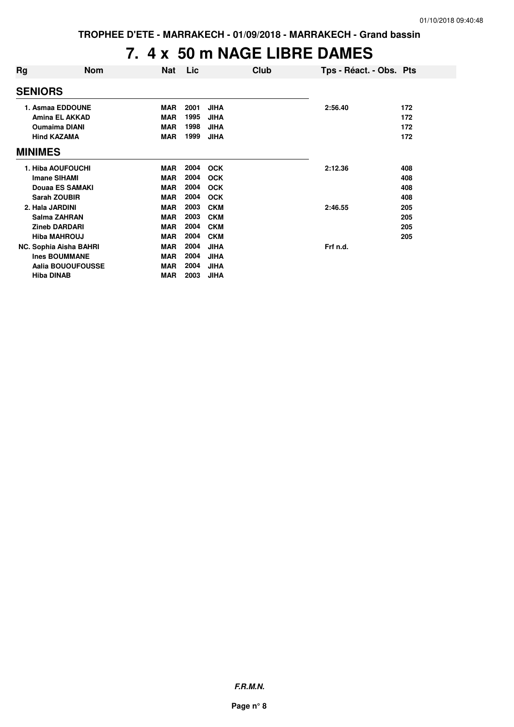## **7. 4 x 50 m NAGE LIBRE DAMES**

| Rg                     | <b>Nom</b> | <b>Nat</b> | Lic  |             | Club | Tps - Réact. - Obs. Pts |     |
|------------------------|------------|------------|------|-------------|------|-------------------------|-----|
| <b>SENIORS</b>         |            |            |      |             |      |                         |     |
| 1. Asmaa EDDOUNE       |            | <b>MAR</b> | 2001 | <b>JIHA</b> |      | 2:56.40                 | 172 |
| <b>Amina EL AKKAD</b>  |            | <b>MAR</b> | 1995 | <b>JIHA</b> |      |                         | 172 |
| <b>Oumaima DIANI</b>   |            | <b>MAR</b> | 1998 | <b>JIHA</b> |      |                         | 172 |
| <b>Hind KAZAMA</b>     |            | <b>MAR</b> | 1999 | <b>JIHA</b> |      |                         | 172 |
| <b>MINIMES</b>         |            |            |      |             |      |                         |     |
| 1. Hiba AOUFOUCHI      |            | <b>MAR</b> | 2004 | <b>OCK</b>  |      | 2:12.36                 | 408 |
| <b>Imane SIHAMI</b>    |            | <b>MAR</b> | 2004 | <b>OCK</b>  |      |                         | 408 |
| <b>Douaa ES SAMAKI</b> |            | <b>MAR</b> | 2004 | <b>OCK</b>  |      |                         | 408 |
| <b>Sarah ZOUBIR</b>    |            | <b>MAR</b> | 2004 | <b>OCK</b>  |      |                         | 408 |
| 2. Hala JARDINI        |            | <b>MAR</b> | 2003 | <b>CKM</b>  |      | 2:46.55                 | 205 |
| Salma ZAHRAN           |            | <b>MAR</b> | 2003 | <b>CKM</b>  |      |                         | 205 |
| <b>Zineb DARDARI</b>   |            | <b>MAR</b> | 2004 | <b>CKM</b>  |      |                         | 205 |
| <b>Hiba MAHROUJ</b>    |            | <b>MAR</b> | 2004 | <b>CKM</b>  |      |                         | 205 |
| NC. Sophia Aisha BAHRI |            | <b>MAR</b> | 2004 | <b>JIHA</b> |      | Frf n.d.                |     |
| <b>Ines BOUMMANE</b>   |            | <b>MAR</b> | 2004 | <b>JIHA</b> |      |                         |     |
| Aalia BOUOUFOUSSE      |            | <b>MAR</b> | 2004 | <b>JIHA</b> |      |                         |     |
| <b>Hiba DINAB</b>      |            | <b>MAR</b> | 2003 | <b>JIHA</b> |      |                         |     |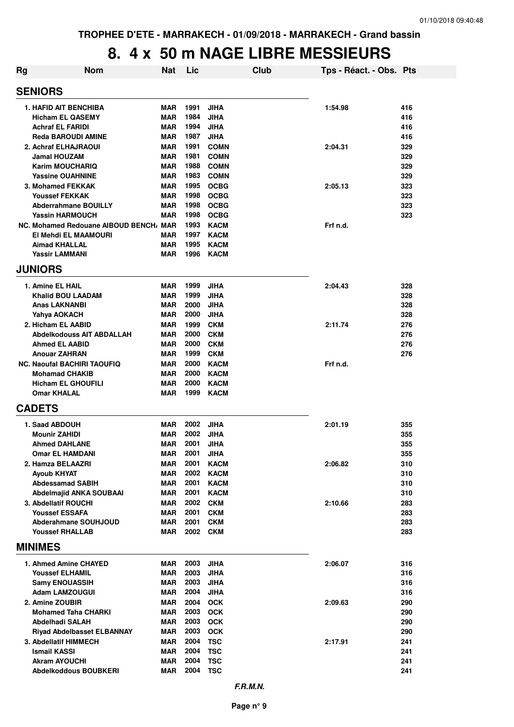## **8. 4 x 50 m NAGE LIBRE MESSIEURS**

| Rg | <b>Nom</b>                                                  | <b>Nat</b>               | Lic          |                            | Club | Tps - Réact. - Obs. Pts |            |
|----|-------------------------------------------------------------|--------------------------|--------------|----------------------------|------|-------------------------|------------|
|    | <b>SENIORS</b>                                              |                          |              |                            |      |                         |            |
|    | <b>1. HAFID AIT BENCHIBA</b>                                | MAR                      | 1991         | <b>JIHA</b>                |      | 1:54.98                 | 416        |
|    | <b>Hicham EL QASEMY</b>                                     | MAR                      | 1984         | <b>JIHA</b>                |      |                         | 416        |
|    | <b>Achraf EL FARIDI</b>                                     | <b>MAR</b>               | 1994         | <b>JIHA</b>                |      |                         | 416        |
|    | <b>Reda BAROUDI AMINE</b>                                   | <b>MAR</b>               | 1987         | <b>JIHA</b>                |      |                         | 416        |
|    | 2. Achraf ELHAJRAOUI                                        | <b>MAR</b>               | 1991         | <b>COMN</b>                |      | 2:04.31                 | 329        |
|    | <b>Jamal HOUZAM</b>                                         | <b>MAR</b>               | 1981         | <b>COMN</b>                |      |                         | 329        |
|    | <b>Karim MOUCHARIQ</b>                                      | <b>MAR</b>               | 1988         | <b>COMN</b>                |      |                         | 329        |
|    | <b>Yassine OUAHNINE</b>                                     | <b>MAR</b>               | 1983         | <b>COMN</b>                |      |                         | 329        |
|    | 3. Mohamed FEKKAK                                           | MAR                      | 1995         | <b>OCBG</b>                |      | 2:05.13                 | 323        |
|    | <b>Youssef FEKKAK</b>                                       | <b>MAR</b>               | 1998         | <b>OCBG</b>                |      |                         | 323        |
|    | <b>Abderrahmane BOUILLY</b>                                 | MAR                      | 1998         | <b>OCBG</b>                |      |                         | 323        |
|    | <b>Yassin HARMOUCH</b>                                      | MAR                      | 1998         | <b>OCBG</b>                |      |                         | 323        |
|    | NC. Mohamed Redouane AIBOUD BENCH, MAR                      |                          | 1993         | <b>KACM</b>                |      | Frf n.d.                |            |
|    | El Mehdi EL MAAMOURI<br><b>Aimad KHALLAL</b>                | <b>MAR</b><br><b>MAR</b> | 1997<br>1995 | <b>KACM</b><br><b>KACM</b> |      |                         |            |
|    | <b>Yassir LAMMANI</b>                                       | <b>MAR</b>               | 1996         | <b>KACM</b>                |      |                         |            |
|    |                                                             |                          |              |                            |      |                         |            |
|    | <b>JUNIORS</b>                                              |                          |              |                            |      |                         |            |
|    | 1. Amine EL HAIL                                            | MAR                      | 1999         | <b>JIHA</b>                |      | 2:04.43                 | 328        |
|    | <b>Khalid BOU LAADAM</b>                                    | MAR                      | 1999         | <b>JIHA</b>                |      |                         | 328        |
|    | <b>Anas LAKNANBI</b>                                        | MAR                      | 2000         | <b>JIHA</b>                |      |                         | 328        |
|    | Yahya AOKACH                                                | MAR                      | 2000         | <b>JIHA</b>                |      |                         | 328        |
|    | 2. Hicham EL AABID                                          | MAR                      | 1999         | <b>CKM</b>                 |      | 2:11.74                 | 276        |
|    | <b>Abdelkodouss AIT ABDALLAH</b>                            | MAR                      | 2000         | <b>CKM</b>                 |      |                         | 276        |
|    | <b>Ahmed EL AABID</b><br><b>Anouar ZAHRAN</b>               | MAR<br>MAR               | 2000<br>1999 | <b>CKM</b><br><b>CKM</b>   |      |                         | 276<br>276 |
|    |                                                             |                          | 2000         |                            |      |                         |            |
|    | <b>NC. Naoufal BACHIRI TAOUFIQ</b><br><b>Mohamad CHAKIB</b> | MAR<br><b>MAR</b>        | 2000         | <b>KACM</b><br><b>KACM</b> |      | Frf n.d.                |            |
|    | <b>Hicham EL GHOUFILI</b>                                   | MAR                      | 2000         | <b>KACM</b>                |      |                         |            |
|    | <b>Omar KHALAL</b>                                          | <b>MAR</b>               | 1999         | <b>KACM</b>                |      |                         |            |
|    | <b>CADETS</b>                                               |                          |              |                            |      |                         |            |
|    | 1. Saad ABDOUH                                              | MAR                      | 2002         | <b>JIHA</b>                |      | 2:01.19                 | 355        |
|    | <b>Mounir ZAHIDI</b>                                        | MAR                      | 2002         | <b>JIHA</b>                |      |                         | 355        |
|    | <b>Ahmed DAHLANE</b>                                        | MAR                      | 2001         | <b>JIHA</b>                |      |                         | 355        |
|    | <b>Omar EL HAMDANI</b>                                      | <b>MAR</b>               | 2001         | <b>JIHA</b>                |      |                         | 355        |
|    | 2. Hamza BELAAZRI                                           | MAR                      | 2001         | <b>KACM</b>                |      | 2:06.82                 | 310        |
|    | <b>Ayoub KHYAT</b>                                          | MAR                      | 2002         | <b>KACM</b>                |      |                         | 310        |
|    | <b>Abdessamad SABIH</b>                                     | MAR                      | 2001         | <b>KACM</b>                |      |                         | 310        |
|    | <b>Abdelmajid ANKA SOUBAAI</b>                              | MAR                      | 2001         | <b>KACM</b>                |      |                         | 310        |
|    | 3. Abdellatif ROUCHI                                        | MAR                      | 2002         | <b>CKM</b>                 |      | 2:10.66                 | 283        |
|    | <b>Youssef ESSAFA</b>                                       | MAR                      | 2001         | <b>CKM</b>                 |      |                         | 283        |
|    | <b>Abderahmane SOUHJOUD</b>                                 | MAR                      | 2001         | <b>CKM</b>                 |      |                         | 283        |
|    | <b>Youssef RHALLAB</b>                                      | MAR                      | 2002         | <b>CKM</b>                 |      |                         | 283        |
|    | <b>MINIMES</b>                                              |                          |              |                            |      |                         |            |
|    | 1. Ahmed Amine CHAYED                                       | MAR                      | 2003         | <b>JIHA</b>                |      | 2:06.07                 | 316        |
|    | <b>Youssef ELHAMIL</b>                                      | <b>MAR</b>               | 2003         | <b>JIHA</b>                |      |                         | 316        |
|    | <b>Samy ENOUASSIH</b>                                       | MAR                      | 2003         | <b>JIHA</b>                |      |                         | 316        |
|    | <b>Adam LAMZOUGUI</b>                                       | MAR                      | 2004         | <b>JIHA</b>                |      |                         | 316        |
|    | 2. Amine ZOUBIR                                             | MAR                      | 2004         | <b>OCK</b>                 |      | 2:09.63                 | 290        |
|    | <b>Mohamed Taha CHARKI</b>                                  | MAR                      | 2003         | <b>OCK</b>                 |      |                         | 290        |
|    | Abdelhadi SALAH                                             | MAR                      | 2003         | <b>OCK</b>                 |      |                         | 290        |
|    | <b>Riyad Abdelbasset ELBANNAY</b>                           | MAR                      | 2003         | <b>OCK</b>                 |      |                         | 290        |
|    | 3. Abdellatif HIMMECH                                       | MAR                      | 2004         | <b>TSC</b>                 |      | 2:17.91                 | 241        |
|    | <b>Ismail KASSI</b>                                         | MAR                      | 2004         | <b>TSC</b>                 |      |                         | 241        |
|    | <b>Akram AYOUCHI</b>                                        | MAR                      | 2004         | <b>TSC</b>                 |      |                         | 241        |
|    | Abdelkoddous BOUBKERI                                       | MAR                      | 2004         | <b>TSC</b>                 |      |                         | 241        |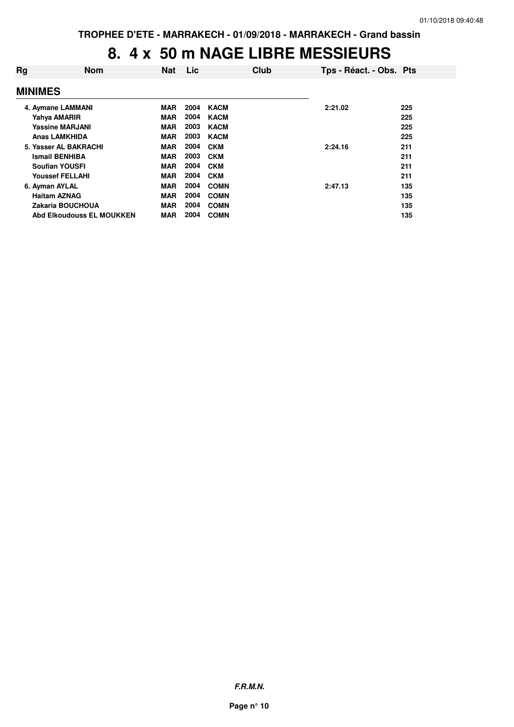## **8. 4 x 50 m NAGE LIBRE MESSIEURS**

| Rg             | <b>Nom</b>                | <b>Nat</b> | Lic  | Club        | Tps - Réact. - Obs. Pts |     |
|----------------|---------------------------|------------|------|-------------|-------------------------|-----|
| <b>MINIMES</b> |                           |            |      |             |                         |     |
|                | 4. Aymane LAMMANI         | <b>MAR</b> | 2004 | <b>KACM</b> | 2:21.02                 | 225 |
|                | Yahya AMARIR              | <b>MAR</b> | 2004 | <b>KACM</b> |                         | 225 |
|                | <b>Yassine MARJANI</b>    | <b>MAR</b> | 2003 | <b>KACM</b> |                         | 225 |
|                | <b>Anas LAMKHIDA</b>      | <b>MAR</b> | 2003 | <b>KACM</b> |                         | 225 |
|                | 5. Yasser AL BAKRACHI     | <b>MAR</b> | 2004 | <b>CKM</b>  | 2:24.16                 | 211 |
|                | <b>Ismail BENHIBA</b>     | <b>MAR</b> | 2003 | <b>CKM</b>  |                         | 211 |
|                | <b>Soufian YOUSFI</b>     | <b>MAR</b> | 2004 | <b>CKM</b>  |                         | 211 |
|                | <b>Youssef FELLAHI</b>    | <b>MAR</b> | 2004 | <b>CKM</b>  |                         | 211 |
| 6. Ayman AYLAL |                           | <b>MAR</b> | 2004 | <b>COMN</b> | 2:47.13                 | 135 |
|                | <b>Haitam AZNAG</b>       | <b>MAR</b> | 2004 | <b>COMN</b> |                         | 135 |
|                | Zakaria BOUCHOUA          | <b>MAR</b> | 2004 | <b>COMN</b> |                         | 135 |
|                | Abd Elkoudouss EL MOUKKEN | <b>MAR</b> | 2004 | <b>COMN</b> |                         | 135 |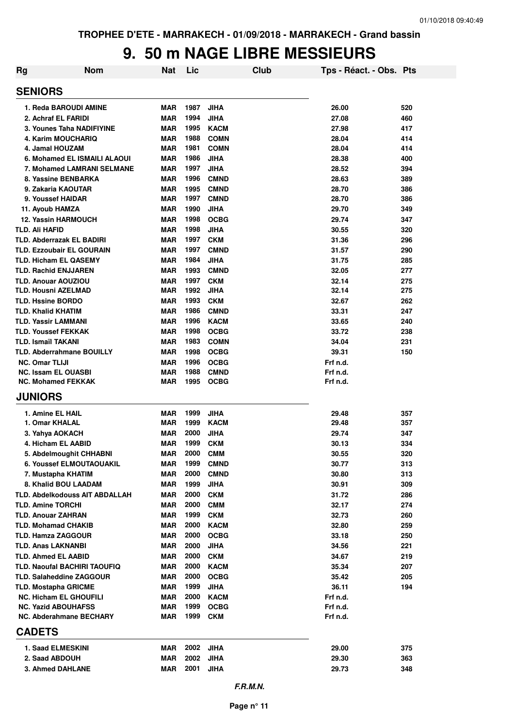#### **9. 50 m NAGE LIBRE MESSIEURS**

| Rg | <b>Nom</b>                                               | Nat                      | Lic          |                           | Club | Tps - Réact. - Obs. Pts |            |
|----|----------------------------------------------------------|--------------------------|--------------|---------------------------|------|-------------------------|------------|
|    | <b>SENIORS</b>                                           |                          |              |                           |      |                         |            |
|    | 1. Reda BAROUDI AMINE                                    | <b>MAR</b>               | 1987         | <b>JIHA</b>               |      | 26.00                   | 520        |
|    | 2. Achraf EL FARIDI                                      | <b>MAR</b>               | 1994         | <b>JIHA</b>               |      | 27.08                   | 460        |
|    | 3. Younes Taha NADIFIYINE                                | <b>MAR</b>               | 1995         | <b>KACM</b>               |      | 27.98                   | 417        |
|    | 4. Karim MOUCHARIQ                                       | <b>MAR</b>               | 1988         | <b>COMN</b>               |      | 28.04                   | 414        |
|    | 4. Jamal HOUZAM                                          | MAR                      | 1981         | <b>COMN</b>               |      | 28.04                   | 414        |
|    | 6. Mohamed EL ISMAILI ALAOUI                             | <b>MAR</b>               | 1986         | <b>JIHA</b>               |      | 28.38                   | 400        |
|    | 7. Mohamed LAMRANI SELMANE                               | <b>MAR</b>               | 1997         | JIHA                      |      | 28.52                   | 394        |
|    | 8. Yassine BENBARKA                                      | <b>MAR</b>               | 1996         | <b>CMND</b>               |      | 28.63                   | 389        |
|    | 9. Zakaria KAOUTAR                                       | <b>MAR</b>               | 1995         | <b>CMND</b>               |      | 28.70                   | 386        |
|    | 9. Youssef HAIDAR                                        | <b>MAR</b>               | 1997         | <b>CMND</b>               |      | 28.70                   | 386        |
|    | 11. Ayoub HAMZA                                          | <b>MAR</b>               | 1990         | <b>JIHA</b>               |      | 29.70                   | 349        |
|    | <b>12. Yassin HARMOUCH</b>                               | <b>MAR</b>               | 1998         | <b>OCBG</b>               |      | 29.74                   | 347        |
|    | <b>TLD. Ali HAFID</b>                                    | <b>MAR</b>               | 1998         | <b>JIHA</b>               |      | 30.55                   | 320        |
|    | <b>TLD. Abderrazak EL BADIRI</b>                         | <b>MAR</b>               | 1997         | <b>CKM</b>                |      | 31.36                   | 296        |
|    | <b>TLD. Ezzoubair EL GOURAIN</b>                         | <b>MAR</b>               | 1997         | <b>CMND</b>               |      | 31.57                   | 290        |
|    | <b>TLD. Hicham EL QASEMY</b>                             | <b>MAR</b>               | 1984         | <b>JIHA</b>               |      | 31.75                   | 285        |
|    | <b>TLD. Rachid ENJJAREN</b>                              | <b>MAR</b>               | 1993         | <b>CMND</b>               |      | 32.05                   | 277        |
|    | <b>TLD. Anouar AOUZIOU</b><br><b>TLD. Housni AZELMAD</b> | <b>MAR</b><br><b>MAR</b> | 1997<br>1992 | <b>CKM</b><br><b>JIHA</b> |      | 32.14<br>32.14          | 275<br>275 |
|    | <b>TLD. Hssine BORDO</b>                                 | <b>MAR</b>               | 1993         | <b>CKM</b>                |      | 32.67                   | 262        |
|    | <b>TLD. Khalid KHATIM</b>                                | <b>MAR</b>               | 1986         | <b>CMND</b>               |      | 33.31                   | 247        |
|    | <b>TLD. Yassir LAMMANI</b>                               | <b>MAR</b>               | 1996         | <b>KACM</b>               |      | 33.65                   | 240        |
|    | <b>TLD. Youssef FEKKAK</b>                               | <b>MAR</b>               | 1998         | <b>OCBG</b>               |      | 33.72                   | 238        |
|    | <b>TLD. Ismaïl TAKANI</b>                                | <b>MAR</b>               | 1983         | <b>COMN</b>               |      | 34.04                   | 231        |
|    | <b>TLD. Abderrahmane BOUILLY</b>                         | <b>MAR</b>               | 1998         | <b>OCBG</b>               |      | 39.31                   | 150        |
|    | <b>NC. Omar TLIJI</b>                                    | <b>MAR</b>               | 1996         | <b>OCBG</b>               |      | Frf n.d.                |            |
|    | <b>NC. Issam EL OUASBI</b>                               | <b>MAR</b>               | 1988         | <b>CMND</b>               |      | Frf n.d.                |            |
|    | <b>NC. Mohamed FEKKAK</b>                                | <b>MAR</b>               | 1995         | <b>OCBG</b>               |      | Frf n.d.                |            |
|    | <b>JUNIORS</b>                                           |                          |              |                           |      |                         |            |
|    | 1. Amine EL HAIL                                         | <b>MAR</b>               | 1999         | <b>JIHA</b>               |      | 29.48                   | 357        |
|    | 1. Omar KHALAL                                           | <b>MAR</b>               | 1999         | <b>KACM</b>               |      | 29.48                   | 357        |
|    | 3. Yahya AOKACH                                          | <b>MAR</b>               | 2000         | JIHA                      |      | 29.74                   | 347        |
|    | 4. Hicham EL AABID                                       | MAR                      | 1999         | <b>CKM</b>                |      | 30.13                   | 334        |
|    | 5. Abdelmoughit CHHABNI                                  | <b>MAR</b>               | 2000         | <b>CMM</b>                |      | 30.55                   | 320        |
|    | <b>6. Youssef ELMOUTAOUAKIL</b>                          | MAR                      | 1999         | <b>CMND</b>               |      | 30.77                   | 313        |
|    | 7. Mustapha KHATIM                                       | <b>MAR</b>               | 2000         | <b>CMND</b>               |      | 30.80                   | 313        |
|    | 8. Khalid BOU LAADAM                                     | <b>MAR</b>               | 1999         | <b>JIHA</b>               |      | 30.91                   | 309        |
|    | <b>TLD. Abdelkodouss AIT ABDALLAH</b>                    | <b>MAR</b>               | 2000         | <b>CKM</b>                |      | 31.72                   | 286        |
|    | <b>TLD. Amine TORCHI</b>                                 | <b>MAR</b>               | 2000         | <b>CMM</b>                |      | 32.17                   | 274        |
|    | <b>TLD. Anouar ZAHRAN</b>                                | <b>MAR</b>               | 1999         | <b>CKM</b>                |      | 32.73                   | 260        |
|    | <b>TLD. Mohamad CHAKIB</b>                               | <b>MAR</b>               | 2000         | <b>KACM</b>               |      | 32.80                   | 259        |
|    | <b>TLD. Hamza ZAGGOUR</b>                                | <b>MAR</b>               | 2000         | <b>OCBG</b>               |      | 33.18                   | 250        |
|    | <b>TLD. Anas LAKNANBI</b>                                | <b>MAR</b>               | 2000         | <b>JIHA</b>               |      | 34.56                   | 221        |
|    | <b>TLD. Ahmed EL AABID</b>                               | <b>MAR</b>               | 2000         | <b>CKM</b>                |      | 34.67                   | 219        |
|    | <b>TLD. Naoufal BACHIRI TAOUFIQ</b>                      | <b>MAR</b>               | 2000         | <b>KACM</b>               |      | 35.34                   | 207        |
|    | <b>TLD. Salaheddine ZAGGOUR</b>                          | <b>MAR</b>               | 2000         | <b>OCBG</b>               |      | 35.42                   | 205        |
|    | <b>TLD. Mostapha GRICME</b>                              | <b>MAR</b>               | 1999         | <b>JIHA</b>               |      | 36.11                   | 194        |
|    | <b>NC. Hicham EL GHOUFILI</b>                            | <b>MAR</b>               | 2000         | <b>KACM</b>               |      | Frf n.d.                |            |
|    | <b>NC. Yazid ABOUHAFSS</b>                               | <b>MAR</b>               | 1999<br>1999 | <b>OCBG</b>               |      | Frf n.d.                |            |
|    | <b>NC. Abderahmane BECHARY</b><br><b>CADETS</b>          | <b>MAR</b>               |              | <b>CKM</b>                |      | Frf n.d.                |            |
|    |                                                          |                          |              |                           |      |                         |            |
|    | <b>1. Saad ELMESKINI</b>                                 | MAR                      | 2002         | <b>JIHA</b>               |      | 29.00                   | 375        |
|    | 2. Saad ABDOUH<br>3. Ahmed DAHLANE                       | <b>MAR</b>               | 2002<br>2001 | <b>JIHA</b>               |      | 29.30                   | 363        |
|    |                                                          | MAR                      |              | <b>JIHA</b>               |      | 29.73                   | 348        |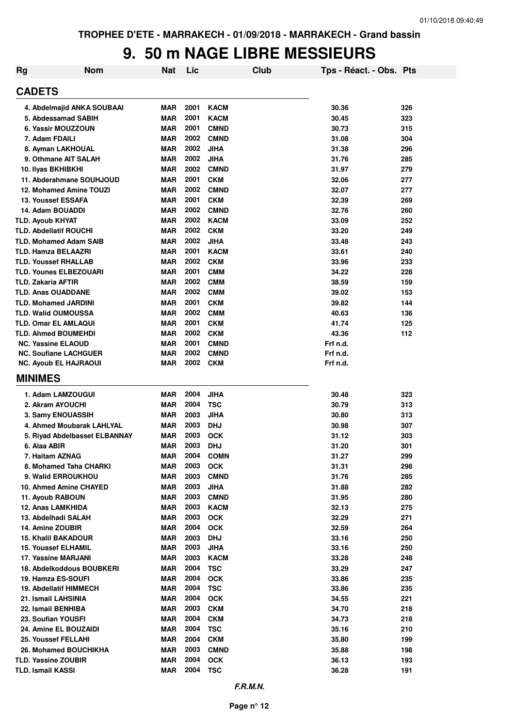#### **9. 50 m NAGE LIBRE MESSIEURS**

| Rg | <b>Nom</b>                    | Nat        | Lic  | Club        | Tps - Réact. - Obs. Pts |     |
|----|-------------------------------|------------|------|-------------|-------------------------|-----|
|    | <b>CADETS</b>                 |            |      |             |                         |     |
|    | 4. Abdelmajid ANKA SOUBAAI    | MAR        | 2001 | <b>KACM</b> | 30.36                   | 326 |
|    | 5. Abdessamad SABIH           | <b>MAR</b> | 2001 | <b>KACM</b> | 30.45                   | 323 |
|    | 6. Yassir MOUZZOUN            | <b>MAR</b> | 2001 | <b>CMND</b> | 30.73                   | 315 |
|    | 7. Adam FDAILI                | <b>MAR</b> | 2002 | <b>CMND</b> | 31.08                   | 304 |
|    | 8. Ayman LAKHOUAL             | <b>MAR</b> | 2002 | JIHA        | 31.38                   | 296 |
|    | 9. Othmane AIT SALAH          | <b>MAR</b> | 2002 | <b>JIHA</b> | 31.76                   | 285 |
|    | 10. Ilyas BKHIBKHI            | MAR        | 2002 | <b>CMND</b> | 31.97                   | 279 |
|    | 11. Abderahmane SOUHJOUD      | <b>MAR</b> | 2001 | <b>CKM</b>  | 32.06                   | 277 |
|    | 12. Mohamed Amine TOUZI       | <b>MAR</b> | 2002 | <b>CMND</b> | 32.07                   | 277 |
|    | <b>13. Youssef ESSAFA</b>     | <b>MAR</b> | 2001 | <b>CKM</b>  | 32.39                   | 269 |
|    | 14. Adam BOUADDI              | <b>MAR</b> | 2002 | <b>CMND</b> | 32.76                   | 260 |
|    | <b>TLD. Ayoub KHYAT</b>       | <b>MAR</b> | 2002 | <b>KACM</b> | 33.09                   | 252 |
|    | <b>TLD. Abdellatif ROUCHI</b> | <b>MAR</b> | 2002 | <b>CKM</b>  | 33.20                   | 249 |
|    | <b>TLD. Mohamed Adam SAIB</b> | <b>MAR</b> | 2002 | <b>JIHA</b> | 33.48                   | 243 |
|    | <b>TLD. Hamza BELAAZRI</b>    | <b>MAR</b> | 2001 | <b>KACM</b> | 33.61                   | 240 |
|    | <b>TLD. Youssef RHALLAB</b>   | <b>MAR</b> | 2002 | <b>CKM</b>  | 33.96                   | 233 |
|    | <b>TLD. Younes ELBEZOUARI</b> | <b>MAR</b> | 2001 | <b>CMM</b>  | 34.22                   | 228 |
|    | <b>TLD. Zakaria AFTIR</b>     | <b>MAR</b> | 2002 | <b>CMM</b>  | 38.59                   | 159 |
|    | <b>TLD. Anas OUADDANE</b>     | <b>MAR</b> | 2002 | <b>CMM</b>  | 39.02                   | 153 |
|    | <b>TLD. Mohamed JARDINI</b>   | <b>MAR</b> | 2001 | <b>CKM</b>  | 39.82                   | 144 |
|    | <b>TLD. Walid OUMOUSSA</b>    | <b>MAR</b> | 2002 | <b>CMM</b>  | 40.63                   | 136 |
|    | <b>TLD. Omar EL AMLAQUI</b>   | <b>MAR</b> | 2001 | <b>CKM</b>  | 41.74                   | 125 |
|    | <b>TLD. Ahmed BOUMEHDI</b>    | <b>MAR</b> | 2002 | <b>CKM</b>  | 43.36                   | 112 |
|    | <b>NC. Yassine ELAOUD</b>     | <b>MAR</b> | 2001 | <b>CMND</b> | Frf n.d.                |     |
|    | <b>NC. Soufiane LACHGUER</b>  | MAR        | 2002 | <b>CMND</b> | Frf n.d.                |     |
|    | <b>NC. Ayoub EL HAJRAOUI</b>  | MAR        | 2002 | <b>CKM</b>  | Frf n.d.                |     |
|    | <b>MINIMES</b>                |            |      |             |                         |     |
|    | 1. Adam LAMZOUGUI             | <b>MAR</b> | 2004 | <b>JIHA</b> | 30.48                   | 323 |
|    | 2. Akram AYOUCHI              | <b>MAR</b> | 2004 | <b>TSC</b>  | 30.79                   | 313 |
|    | <b>3. Samy ENOUASSIH</b>      | MAR        | 2003 | <b>JIHA</b> | 30.80                   | 313 |
|    | 4. Ahmed Moubarak LAHLYAL     | MAR        | 2003 | <b>DHJ</b>  | 30.98                   | 307 |
|    | 5. Riyad Abdelbasset ELBANNAY | MAR        | 2003 | <b>OCK</b>  | 31.12                   | 303 |
|    | 6. Alaa ABIR                  | MAR        | 2003 | <b>DHJ</b>  | 31.20                   | 301 |
|    | 7. Haitam AZNAG               | MAR        | 2004 | <b>COMN</b> | 31.27                   | 299 |
|    | 8. Mohamed Taha CHARKI        | <b>MAR</b> | 2003 | <b>OCK</b>  | 31.31                   | 298 |
|    | 9. Walid ERROUKHOU            | MAR        | 2003 | <b>CMND</b> | 31.76                   | 285 |
|    | 10. Ahmed Amine CHAYED        | MAR        | 2003 | <b>JIHA</b> | 31.88                   | 282 |
|    | 11. Ayoub RABOUN              | <b>MAR</b> | 2003 | <b>CMND</b> | 31.95                   | 280 |
|    | 12. Anas LAMKHIDA             | MAR        | 2003 | <b>KACM</b> | 32.13                   | 275 |
|    | 13. Abdelhadi SALAH           | MAR        | 2003 | <b>OCK</b>  | 32.29                   | 271 |
|    | 14. Amine ZOUBIR              | <b>MAR</b> | 2004 | <b>OCK</b>  | 32.59                   | 264 |
|    | <b>15. Khalil BAKADOUR</b>    | <b>MAR</b> | 2003 | <b>DHJ</b>  | 33.16                   | 250 |
|    | <b>15. Youssef ELHAMIL</b>    | <b>MAR</b> | 2003 | <b>JIHA</b> | 33.16                   | 250 |
|    | 17. Yassine MARJANI           | <b>MAR</b> | 2003 | <b>KACM</b> | 33.28                   | 248 |
|    | 18. Abdelkoddous BOUBKERI     | <b>MAR</b> | 2004 | <b>TSC</b>  | 33.29                   | 247 |
|    | 19. Hamza ES-SOUFI            | MAR        | 2004 | <b>OCK</b>  | 33.86                   | 235 |
|    | 19. Abdellatif HIMMECH        | <b>MAR</b> | 2004 | <b>TSC</b>  | 33.86                   | 235 |
|    | 21. Ismail LAHSINIA           | <b>MAR</b> | 2004 | <b>OCK</b>  | 34.55                   | 221 |
|    | 22. Ismail BENHIBA            | MAR        | 2003 | <b>CKM</b>  | 34.70                   | 218 |
|    | 23. Soufian YOUSFI            | MAR        | 2004 | <b>CKM</b>  | 34.73                   | 218 |
|    | 24. Amine EL BOUZAIDI         | <b>MAR</b> | 2004 | <b>TSC</b>  | 35.16                   | 210 |
|    | 25. Youssef FELLAHI           | <b>MAR</b> | 2004 | <b>CKM</b>  | 35.80                   | 199 |
|    | 26. Mohamed BOUCHIKHA         | <b>MAR</b> | 2003 | <b>CMND</b> | 35.88                   | 198 |
|    | <b>TLD. Yassine ZOUBIR</b>    | <b>MAR</b> | 2004 | <b>OCK</b>  | 36.13                   | 193 |
|    | <b>TLD. Ismail KASSI</b>      | <b>MAR</b> | 2004 | <b>TSC</b>  | 36.28                   | 191 |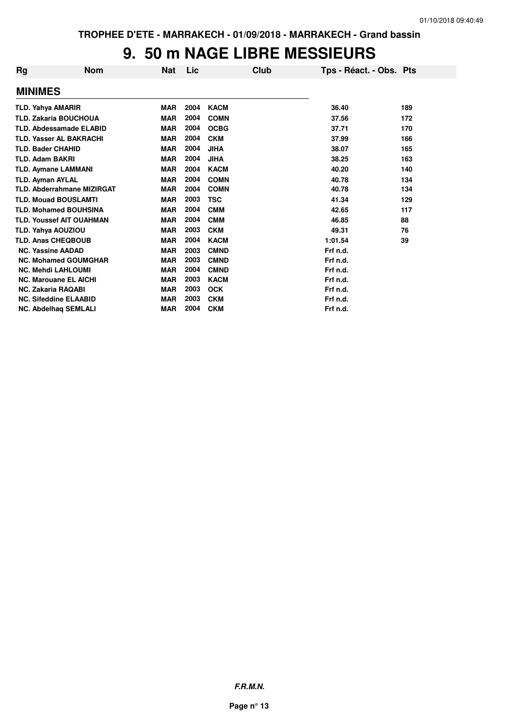#### **9. 50 m NAGE LIBRE MESSIEURS**

| Rg | <b>Nom</b>                        | <b>Nat</b> | Lic  | Club        | Tps - Réact. - Obs. Pts |     |
|----|-----------------------------------|------------|------|-------------|-------------------------|-----|
|    | <b>MINIMES</b>                    |            |      |             |                         |     |
|    | <b>TLD. Yahya AMARIR</b>          | <b>MAR</b> | 2004 | <b>KACM</b> | 36.40                   | 189 |
|    | <b>TLD. Zakaria BOUCHOUA</b>      | <b>MAR</b> | 2004 | <b>COMN</b> | 37.56                   | 172 |
|    | <b>TLD. Abdessamade ELABID</b>    | <b>MAR</b> | 2004 | <b>OCBG</b> | 37.71                   | 170 |
|    | <b>TLD. Yasser AL BAKRACHI</b>    | <b>MAR</b> | 2004 | <b>CKM</b>  | 37.99                   | 166 |
|    | <b>TLD. Bader CHAHID</b>          | <b>MAR</b> | 2004 | <b>JIHA</b> | 38.07                   | 165 |
|    | <b>TLD. Adam BAKRI</b>            | <b>MAR</b> | 2004 | <b>JIHA</b> | 38.25                   | 163 |
|    | <b>TLD. Aymane LAMMANI</b>        | <b>MAR</b> | 2004 | <b>KACM</b> | 40.20                   | 140 |
|    | <b>TLD. Ayman AYLAL</b>           | <b>MAR</b> | 2004 | <b>COMN</b> | 40.78                   | 134 |
|    | <b>TLD. Abderrahmane MIZIRGAT</b> | <b>MAR</b> | 2004 | <b>COMN</b> | 40.78                   | 134 |
|    | <b>TLD. Mouad BOUSLAMTI</b>       | <b>MAR</b> | 2003 | <b>TSC</b>  | 41.34                   | 129 |
|    | <b>TLD. Mohamed BOUHSINA</b>      | <b>MAR</b> | 2004 | <b>CMM</b>  | 42.65                   | 117 |
|    | <b>TLD. Youssef AIT OUAHMAN</b>   | <b>MAR</b> | 2004 | <b>CMM</b>  | 46.85                   | 88  |
|    | TLD. Yahya AOUZIOU                | <b>MAR</b> | 2003 | <b>CKM</b>  | 49.31                   | 76  |
|    | <b>TLD. Anas CHEQBOUB</b>         | <b>MAR</b> | 2004 | <b>KACM</b> | 1:01.54                 | 39  |
|    | <b>NC. Yassine AADAD</b>          | <b>MAR</b> | 2003 | <b>CMND</b> | Frf n.d.                |     |
|    | <b>NC. Mohamed GOUMGHAR</b>       | <b>MAR</b> | 2003 | <b>CMND</b> | Frf n.d.                |     |
|    | <b>NC. Mehdi LAHLOUMI</b>         | <b>MAR</b> | 2004 | <b>CMND</b> | Frf n.d.                |     |
|    | <b>NC. Marouane EL AICHI</b>      | <b>MAR</b> | 2003 | <b>KACM</b> | Frf n.d.                |     |
|    | <b>NC. Zakaria RAQABI</b>         | <b>MAR</b> | 2003 | <b>OCK</b>  | Frf n.d.                |     |
|    | <b>NC. Sifeddine ELAABID</b>      | <b>MAR</b> | 2003 | <b>CKM</b>  | Frf n.d.                |     |
|    | <b>NC. Abdelhaq SEMLALI</b>       | <b>MAR</b> | 2004 | <b>CKM</b>  | Frf n.d.                |     |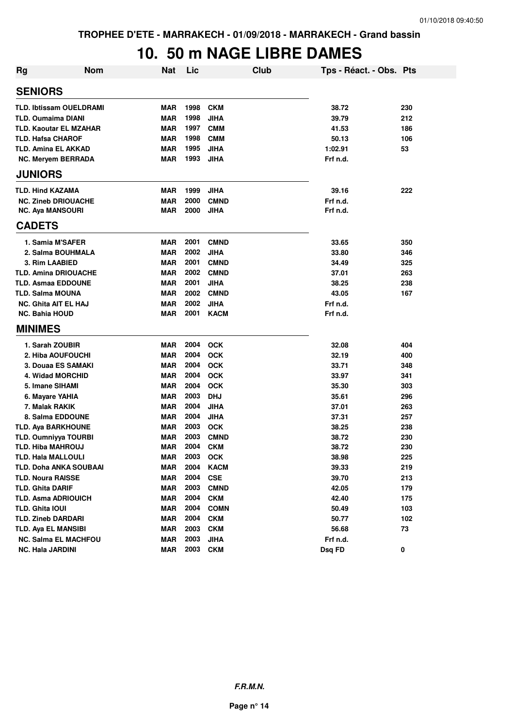## **10. 50 m NAGE LIBRE DAMES**

| <b>Rg</b> | <b>Nom</b>                     | Nat        | Lic  | Club        | Tps - Réact. - Obs. Pts |     |
|-----------|--------------------------------|------------|------|-------------|-------------------------|-----|
|           | <b>SENIORS</b>                 |            |      |             |                         |     |
|           | <b>TLD. Ibtissam OUELDRAMI</b> | MAR        | 1998 | <b>CKM</b>  | 38.72                   | 230 |
|           | <b>TLD. Oumaima DIANI</b>      | MAR        | 1998 | <b>JIHA</b> | 39.79                   | 212 |
|           | <b>TLD. Kaoutar EL MZAHAR</b>  | MAR        | 1997 | <b>CMM</b>  | 41.53                   | 186 |
|           | <b>TLD. Hafsa CHAROF</b>       | <b>MAR</b> | 1998 | <b>CMM</b>  | 50.13                   | 106 |
|           | <b>TLD. Amina EL AKKAD</b>     | <b>MAR</b> | 1995 | <b>JIHA</b> | 1:02.91                 | 53  |
|           | NC. Meryem BERRADA             | <b>MAR</b> | 1993 | <b>JIHA</b> | Frf n.d.                |     |
|           | <b>JUNIORS</b>                 |            |      |             |                         |     |
|           | <b>TLD. Hind KAZAMA</b>        | <b>MAR</b> | 1999 | <b>JIHA</b> | 39.16                   | 222 |
|           | <b>NC. Zineb DRIOUACHE</b>     | <b>MAR</b> | 2000 | <b>CMND</b> | Frf n.d.                |     |
|           | <b>NC. Aya MANSOURI</b>        | <b>MAR</b> | 2000 | <b>JIHA</b> | Frf n.d.                |     |
|           | <b>CADETS</b>                  |            |      |             |                         |     |
|           | 1. Samia M'SAFER               | <b>MAR</b> | 2001 | <b>CMND</b> | 33.65                   | 350 |
|           | 2. Salma BOUHMALA              | <b>MAR</b> | 2002 | <b>JIHA</b> | 33.80                   | 346 |
|           | 3. Rim LAABIED                 | <b>MAR</b> | 2001 | <b>CMND</b> | 34.49                   | 325 |
|           | <b>TLD. Amina DRIOUACHE</b>    | <b>MAR</b> | 2002 | <b>CMND</b> | 37.01                   | 263 |
|           | <b>TLD. Asmaa EDDOUNE</b>      | <b>MAR</b> | 2001 | <b>JIHA</b> | 38.25                   | 238 |
|           | <b>TLD. Salma MOUNA</b>        | <b>MAR</b> | 2002 | <b>CMND</b> | 43.05                   | 167 |
|           | <b>NC. Ghita AIT EL HAJ</b>    | <b>MAR</b> | 2002 | <b>JIHA</b> | Frf n.d.                |     |
|           | <b>NC. Bahia HOUD</b>          | <b>MAR</b> | 2001 | <b>KACM</b> | Frf n.d.                |     |
|           | <b>MINIMES</b>                 |            |      |             |                         |     |
|           | 1. Sarah ZOUBIR                | <b>MAR</b> | 2004 | <b>OCK</b>  | 32.08                   | 404 |
|           | 2. Hiba AOUFOUCHI              | <b>MAR</b> | 2004 | <b>OCK</b>  | 32.19                   | 400 |
|           | 3. Douaa ES SAMAKI             | <b>MAR</b> | 2004 | <b>OCK</b>  | 33.71                   | 348 |
|           | 4. Widad MORCHID               | <b>MAR</b> | 2004 | <b>OCK</b>  | 33.97                   | 341 |
|           | 5. Imane SIHAMI                | <b>MAR</b> | 2004 | <b>OCK</b>  | 35.30                   | 303 |
|           | 6. Mayare YAHIA                | <b>MAR</b> | 2003 | <b>DHJ</b>  | 35.61                   | 296 |
|           | 7. Malak RAKIK                 | <b>MAR</b> | 2004 | <b>JIHA</b> | 37.01                   | 263 |
|           | 8. Salma EDDOUNE               | <b>MAR</b> | 2004 | <b>JIHA</b> | 37.31                   | 257 |
|           | <b>TLD. Aya BARKHOUNE</b>      | <b>MAR</b> | 2003 | <b>OCK</b>  | 38.25                   | 238 |
|           | <b>TLD. Oumniyya TOURBI</b>    | <b>MAR</b> | 2003 | <b>CMND</b> | 38.72                   | 230 |
|           | <b>TLD. Hiba MAHROUJ</b>       | MAR        | 2004 | <b>CKM</b>  | 38.72                   | 230 |
|           | <b>TLD. Hala MALLOULI</b>      | <b>MAR</b> | 2003 | <b>OCK</b>  | 38.98                   | 225 |
|           | <b>TLD. Doha ANKA SOUBAAI</b>  | <b>MAR</b> | 2004 | <b>KACM</b> | 39.33                   | 219 |
|           | <b>TLD. Noura RAISSE</b>       | <b>MAR</b> | 2004 | <b>CSE</b>  | 39.70                   | 213 |
|           | <b>TLD. Ghita DARIF</b>        | <b>MAR</b> | 2003 | <b>CMND</b> | 42.05                   | 179 |
|           | <b>TLD. Asma ADRIOUICH</b>     | <b>MAR</b> | 2004 | <b>CKM</b>  | 42.40                   | 175 |
|           | TLD. Ghita IOUI                | <b>MAR</b> | 2004 | <b>COMN</b> | 50.49                   | 103 |
|           | <b>TLD. Zineb DARDARI</b>      | <b>MAR</b> | 2004 | <b>CKM</b>  | 50.77                   | 102 |
|           | TLD. Aya EL MANSIBI            | <b>MAR</b> | 2003 | <b>CKM</b>  | 56.68                   | 73  |
|           | NC. Salma EL MACHFOU           | <b>MAR</b> | 2003 | <b>JIHA</b> | Frf n.d.                |     |
|           | <b>NC. Hala JARDINI</b>        | <b>MAR</b> | 2003 | <b>CKM</b>  | Dsq FD                  | 0   |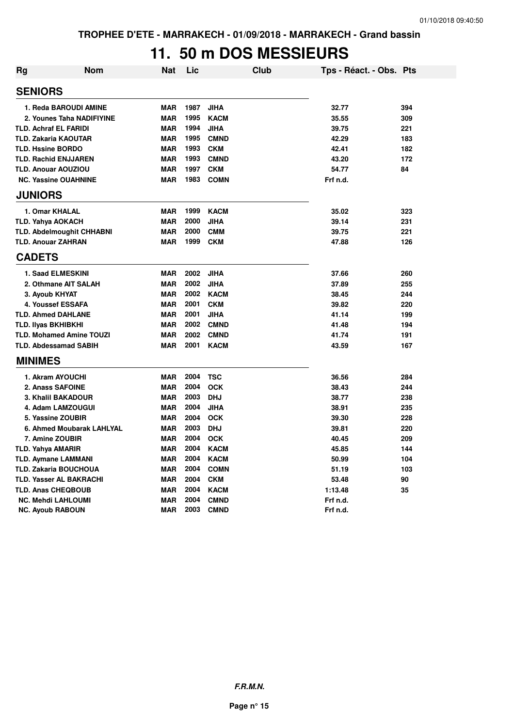## **11. 50 m DOS MESSIEURS**

| <b>Rg</b>     | <b>Nom</b>                       | Nat        | Lic  | <b>Club</b> | Tps - Réact. - Obs. Pts |     |
|---------------|----------------------------------|------------|------|-------------|-------------------------|-----|
|               | <b>SENIORS</b>                   |            |      |             |                         |     |
|               | 1. Reda BAROUDI AMINE            | <b>MAR</b> | 1987 | <b>JIHA</b> | 32.77                   | 394 |
|               | 2. Younes Taha NADIFIYINE        | <b>MAR</b> | 1995 | <b>KACM</b> | 35.55                   | 309 |
|               | <b>TLD. Achraf EL FARIDI</b>     | <b>MAR</b> | 1994 | <b>JIHA</b> | 39.75                   | 221 |
|               | <b>TLD. Zakaria KAOUTAR</b>      | <b>MAR</b> | 1995 | <b>CMND</b> | 42.29                   | 183 |
|               | <b>TLD. Hssine BORDO</b>         | <b>MAR</b> | 1993 | <b>CKM</b>  | 42.41                   | 182 |
|               | <b>TLD. Rachid ENJJAREN</b>      | <b>MAR</b> | 1993 | <b>CMND</b> | 43.20                   | 172 |
|               | <b>TLD. Anouar AOUZIOU</b>       | <b>MAR</b> | 1997 | <b>CKM</b>  | 54.77                   | 84  |
|               | <b>NC. Yassine OUAHNINE</b>      | <b>MAR</b> | 1983 | <b>COMN</b> | Frf n.d.                |     |
|               | <b>JUNIORS</b>                   |            |      |             |                         |     |
|               | 1. Omar KHALAL                   | <b>MAR</b> | 1999 | <b>KACM</b> | 35.02                   | 323 |
|               | <b>TLD. Yahya AOKACH</b>         | <b>MAR</b> | 2000 | <b>JIHA</b> | 39.14                   | 231 |
|               | <b>TLD. Abdelmoughit CHHABNI</b> | <b>MAR</b> | 2000 | <b>CMM</b>  | 39.75                   | 221 |
|               | <b>TLD. Anouar ZAHRAN</b>        | <b>MAR</b> | 1999 | <b>CKM</b>  | 47.88                   | 126 |
| <b>CADETS</b> |                                  |            |      |             |                         |     |
|               | 1. Saad ELMESKINI                | <b>MAR</b> | 2002 | <b>JIHA</b> | 37.66                   | 260 |
|               | 2. Othmane AIT SALAH             | <b>MAR</b> | 2002 | <b>JIHA</b> | 37.89                   | 255 |
|               | 3. Ayoub KHYAT                   | <b>MAR</b> | 2002 | <b>KACM</b> | 38.45                   | 244 |
|               | 4. Youssef ESSAFA                | <b>MAR</b> | 2001 | <b>CKM</b>  | 39.82                   | 220 |
|               | <b>TLD. Ahmed DAHLANE</b>        | <b>MAR</b> | 2001 | <b>JIHA</b> | 41.14                   | 199 |
|               | <b>TLD. Ilyas BKHIBKHI</b>       | <b>MAR</b> | 2002 | <b>CMND</b> | 41.48                   | 194 |
|               | <b>TLD. Mohamed Amine TOUZI</b>  | <b>MAR</b> | 2002 | <b>CMND</b> | 41.74                   | 191 |
|               | <b>TLD. Abdessamad SABIH</b>     | <b>MAR</b> | 2001 | <b>KACM</b> | 43.59                   | 167 |
|               | <b>MINIMES</b>                   |            |      |             |                         |     |
|               | 1. Akram AYOUCHI                 | <b>MAR</b> | 2004 | <b>TSC</b>  | 36.56                   | 284 |
|               | 2. Anass SAFOINE                 | <b>MAR</b> | 2004 | <b>OCK</b>  | 38.43                   | 244 |
|               | 3. Khalil BAKADOUR               | <b>MAR</b> | 2003 | <b>DHJ</b>  | 38.77                   | 238 |
|               | 4. Adam LAMZOUGUI                | <b>MAR</b> | 2004 | <b>JIHA</b> | 38.91                   | 235 |
|               | 5. Yassine ZOUBIR                | <b>MAR</b> | 2004 | <b>OCK</b>  | 39.30                   | 228 |
|               | 6. Ahmed Moubarak LAHLYAL        | <b>MAR</b> | 2003 | <b>DHJ</b>  | 39.81                   | 220 |
|               | 7. Amine ZOUBIR                  | <b>MAR</b> | 2004 | <b>OCK</b>  | 40.45                   | 209 |
|               | <b>TLD. Yahya AMARIR</b>         | <b>MAR</b> | 2004 | <b>KACM</b> | 45.85                   | 144 |
|               | <b>TLD. Aymane LAMMANI</b>       | <b>MAR</b> | 2004 | <b>KACM</b> | 50.99                   | 104 |
|               | <b>TLD. Zakaria BOUCHOUA</b>     | <b>MAR</b> | 2004 | <b>COMN</b> | 51.19                   | 103 |
|               | <b>TLD. Yasser AL BAKRACHI</b>   | <b>MAR</b> | 2004 | <b>CKM</b>  | 53.48                   | 90  |
|               | <b>TLD. Anas CHEQBOUB</b>        | <b>MAR</b> | 2004 | <b>KACM</b> | 1:13.48                 | 35  |
|               | <b>NC. Mehdi LAHLOUMI</b>        | <b>MAR</b> | 2004 | <b>CMND</b> | Frf n.d.                |     |
|               | <b>NC. Ayoub RABOUN</b>          | <b>MAR</b> | 2003 | <b>CMND</b> | Frf n.d.                |     |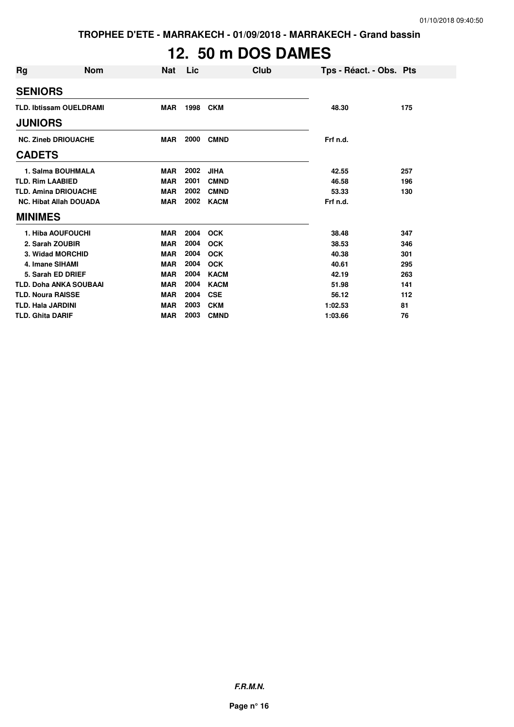**TROPHEE D'ETE - MARRAKECH - 01/09/2018 - MARRAKECH - Grand bassin**

# **12. 50 m DOS DAMES**

| <b>Rg</b>                      | <b>Nom</b> | <b>Nat</b> | Lic  | Club        | Tps - Réact. - Obs. Pts |     |
|--------------------------------|------------|------------|------|-------------|-------------------------|-----|
| <b>SENIORS</b>                 |            |            |      |             |                         |     |
| <b>TLD. Ibtissam OUELDRAMI</b> |            | <b>MAR</b> | 1998 | <b>CKM</b>  | 48.30                   | 175 |
| <b>JUNIORS</b>                 |            |            |      |             |                         |     |
| <b>NC. Zineb DRIOUACHE</b>     |            | <b>MAR</b> | 2000 | <b>CMND</b> | Frf n.d.                |     |
| <b>CADETS</b>                  |            |            |      |             |                         |     |
| 1. Salma BOUHMALA              |            | <b>MAR</b> | 2002 | <b>JIHA</b> | 42.55                   | 257 |
| <b>TLD. Rim LAABIED</b>        |            | <b>MAR</b> | 2001 | <b>CMND</b> | 46.58                   | 196 |
| <b>TLD. Amina DRIOUACHE</b>    |            | <b>MAR</b> | 2002 | <b>CMND</b> | 53.33                   | 130 |
| <b>NC. Hibat Allah DOUADA</b>  |            | <b>MAR</b> | 2002 | <b>KACM</b> | Frf n.d.                |     |
| <b>MINIMES</b>                 |            |            |      |             |                         |     |
| 1. Hiba AOUFOUCHI              |            | <b>MAR</b> | 2004 | <b>OCK</b>  | 38.48                   | 347 |
| 2. Sarah ZOUBIR                |            | <b>MAR</b> | 2004 | <b>OCK</b>  | 38.53                   | 346 |
| 3. Widad MORCHID               |            | <b>MAR</b> | 2004 | <b>OCK</b>  | 40.38                   | 301 |
| 4. Imane SIHAMI                |            | <b>MAR</b> | 2004 | <b>OCK</b>  | 40.61                   | 295 |
| 5. Sarah ED DRIEF              |            | <b>MAR</b> | 2004 | <b>KACM</b> | 42.19                   | 263 |
| <b>TLD. Doha ANKA SOUBAAI</b>  |            | <b>MAR</b> | 2004 | <b>KACM</b> | 51.98                   | 141 |
| <b>TLD. Noura RAISSE</b>       |            | <b>MAR</b> | 2004 | <b>CSE</b>  | 56.12                   | 112 |
| <b>TLD. Hala JARDINI</b>       |            | <b>MAR</b> | 2003 | <b>CKM</b>  | 1:02.53                 | 81  |
| <b>TLD. Ghita DARIF</b>        |            | <b>MAR</b> | 2003 | <b>CMND</b> | 1:03.66                 | 76  |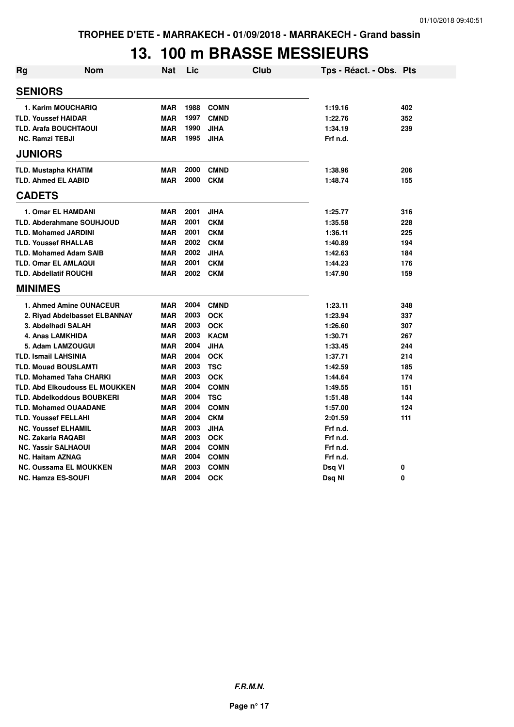## **13. 100 m BRASSE MESSIEURS**

| <b>Rg</b> | Nom                                   | <b>Nat</b>               | Lic  |                           | Club | Tps - Réact. - Obs. Pts |            |
|-----------|---------------------------------------|--------------------------|------|---------------------------|------|-------------------------|------------|
|           | <b>SENIORS</b>                        |                          |      |                           |      |                         |            |
|           | 1. Karim MOUCHARIQ                    | <b>MAR</b>               | 1988 | <b>COMN</b>               |      | 1:19.16                 | 402        |
|           | <b>TLD. Youssef HAIDAR</b>            | <b>MAR</b>               | 1997 | <b>CMND</b>               |      | 1:22.76                 | 352        |
|           | <b>TLD. Arafa BOUCHTAOUI</b>          | <b>MAR</b>               | 1990 | <b>JIHA</b>               |      | 1:34.19                 | 239        |
|           | <b>NC. Ramzi TEBJI</b>                | <b>MAR</b>               | 1995 | <b>JIHA</b>               |      | Frf n.d.                |            |
|           | <b>JUNIORS</b>                        |                          |      |                           |      |                         |            |
|           | <b>TLD. Mustapha KHATIM</b>           | <b>MAR</b>               | 2000 | <b>CMND</b>               |      | 1:38.96                 | 206        |
|           | <b>TLD. Ahmed EL AABID</b>            | <b>MAR</b>               | 2000 | <b>CKM</b>                |      | 1:48.74                 | 155        |
|           | <b>CADETS</b>                         |                          |      |                           |      |                         |            |
|           | 1. Omar EL HAMDANI                    |                          | 2001 |                           |      |                         |            |
|           | <b>TLD. Abderahmane SOUHJOUD</b>      | <b>MAR</b><br><b>MAR</b> | 2001 | <b>JIHA</b><br><b>CKM</b> |      | 1:25.77                 | 316<br>228 |
|           | <b>TLD. Mohamed JARDINI</b>           | <b>MAR</b>               | 2001 | <b>CKM</b>                |      | 1:35.58<br>1:36.11      | 225        |
|           | <b>TLD. Youssef RHALLAB</b>           | <b>MAR</b>               | 2002 | <b>CKM</b>                |      | 1:40.89                 | 194        |
|           | <b>TLD. Mohamed Adam SAIB</b>         | <b>MAR</b>               | 2002 | <b>JIHA</b>               |      | 1:42.63                 | 184        |
|           | <b>TLD. Omar EL AMLAQUI</b>           | <b>MAR</b>               | 2001 | <b>CKM</b>                |      | 1:44.23                 | 176        |
|           | <b>TLD. Abdellatif ROUCHI</b>         | <b>MAR</b>               | 2002 | <b>CKM</b>                |      | 1:47.90                 | 159        |
|           | <b>MINIMES</b>                        |                          |      |                           |      |                         |            |
|           |                                       |                          |      |                           |      |                         |            |
|           | 1. Ahmed Amine OUNACEUR               | <b>MAR</b>               | 2004 | <b>CMND</b>               |      | 1:23.11                 | 348        |
|           | 2. Riyad Abdelbasset ELBANNAY         | <b>MAR</b>               | 2003 | <b>OCK</b>                |      | 1:23.94                 | 337        |
|           | 3. Abdelhadi SALAH                    | <b>MAR</b>               | 2003 | <b>OCK</b>                |      | 1:26.60                 | 307        |
|           | 4. Anas LAMKHIDA                      | <b>MAR</b>               | 2003 | <b>KACM</b>               |      | 1:30.71                 | 267        |
|           | 5. Adam LAMZOUGUI                     | <b>MAR</b>               | 2004 | <b>JIHA</b>               |      | 1:33.45                 | 244        |
|           | <b>TLD. Ismail LAHSINIA</b>           | <b>MAR</b>               | 2004 | <b>OCK</b>                |      | 1:37.71                 | 214        |
|           | <b>TLD. Mouad BOUSLAMTI</b>           | <b>MAR</b>               | 2003 | <b>TSC</b>                |      | 1:42.59                 | 185        |
|           | <b>TLD. Mohamed Taha CHARKI</b>       | <b>MAR</b>               | 2003 | <b>OCK</b>                |      | 1:44.64                 | 174        |
|           | <b>TLD. Abd Elkoudouss EL MOUKKEN</b> | <b>MAR</b>               | 2004 | <b>COMN</b>               |      | 1:49.55                 | 151        |
|           | <b>TLD. Abdelkoddous BOUBKERI</b>     | <b>MAR</b>               | 2004 | <b>TSC</b>                |      | 1:51.48                 | 144        |
|           | <b>TLD. Mohamed OUAADANE</b>          | <b>MAR</b>               | 2004 | <b>COMN</b>               |      | 1:57.00                 | 124        |
|           | <b>TLD. Youssef FELLAHI</b>           | <b>MAR</b>               | 2004 | <b>CKM</b>                |      | 2:01.59                 | 111        |
|           | <b>NC. Youssef ELHAMIL</b>            | <b>MAR</b>               | 2003 | <b>JIHA</b>               |      | Frf n.d.                |            |
|           | <b>NC. Zakaria RAQABI</b>             | <b>MAR</b>               | 2003 | <b>OCK</b>                |      | Frf n.d.                |            |
|           | <b>NC. Yassir SALHAOUI</b>            | <b>MAR</b>               | 2004 | <b>COMN</b>               |      | Frf n.d.                |            |
|           | <b>NC. Haitam AZNAG</b>               | <b>MAR</b>               | 2004 | <b>COMN</b>               |      | Frf n.d.                |            |
|           | <b>NC. Oussama EL MOUKKEN</b>         | <b>MAR</b>               | 2003 | <b>COMN</b>               |      | Dsq VI                  | 0          |
|           | <b>NC. Hamza ES-SOUFI</b>             | <b>MAR</b>               | 2004 | <b>OCK</b>                |      | Dsq NI                  | 0          |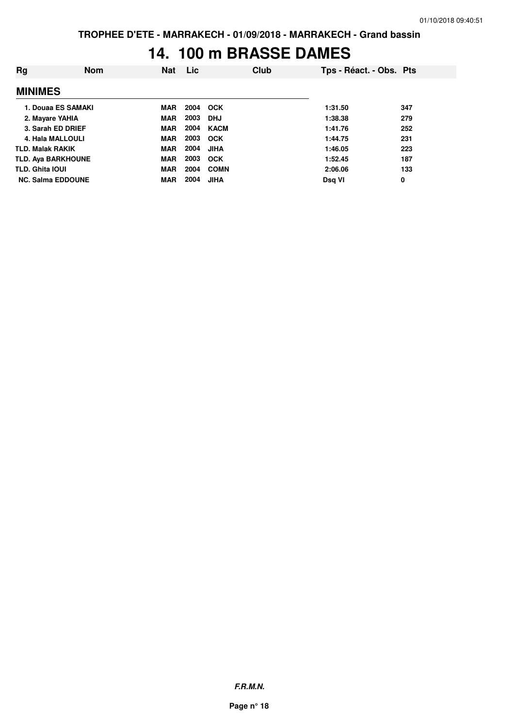## **14. 100 m BRASSE DAMES**

| Rg                        | <b>Nom</b> | Nat        | <b>Lic</b> | <b>Club</b> | Tps - Réact. - Obs. Pts |     |
|---------------------------|------------|------------|------------|-------------|-------------------------|-----|
| <b>MINIMES</b>            |            |            |            |             |                         |     |
| 1. Douaa ES SAMAKI        |            | <b>MAR</b> | 2004       | <b>OCK</b>  | 1:31.50                 | 347 |
| 2. Mayare YAHIA           |            | <b>MAR</b> | 2003       | <b>DHJ</b>  | 1:38.38                 | 279 |
| 3. Sarah ED DRIEF         |            | <b>MAR</b> | 2004       | <b>KACM</b> | 1:41.76                 | 252 |
| 4. Hala MALLOULI          |            | <b>MAR</b> | 2003       | <b>OCK</b>  | 1:44.75                 | 231 |
| <b>TLD. Malak RAKIK</b>   |            | <b>MAR</b> | 2004       | <b>JIHA</b> | 1:46.05                 | 223 |
| <b>TLD. Aya BARKHOUNE</b> |            | <b>MAR</b> | 2003       | <b>OCK</b>  | 1:52.45                 | 187 |
| <b>TLD. Ghita IOUI</b>    |            | <b>MAR</b> | 2004       | <b>COMN</b> | 2:06.06                 | 133 |
| <b>NC. Salma EDDOUNE</b>  |            | <b>MAR</b> | 2004       | <b>JIHA</b> | Dsg VI                  | 0   |

**F.R.M.N.**

**Page n° 18**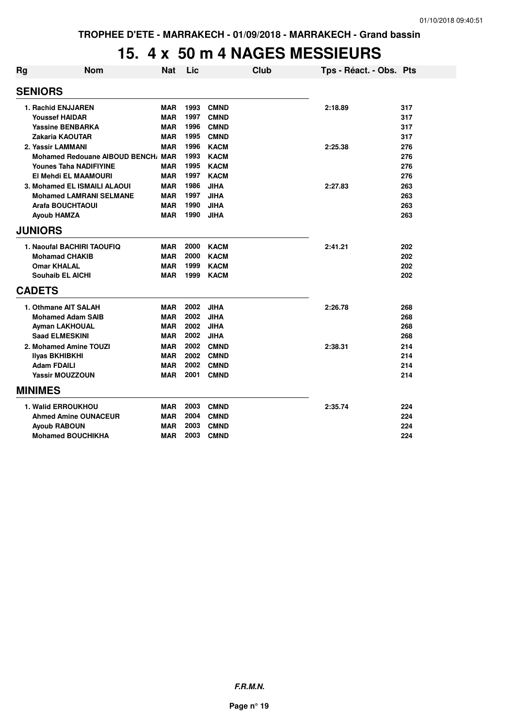#### **15. 4 x 50 m 4 NAGES MESSIEURS**

| Rg | <b>Nom</b>                           | <b>Nat</b> | Lic  |             | <b>Club</b> | Tps - Réact. - Obs. Pts |     |
|----|--------------------------------------|------------|------|-------------|-------------|-------------------------|-----|
|    | <b>SENIORS</b>                       |            |      |             |             |                         |     |
|    | <b>1. Rachid ENJJAREN</b>            | MAR        | 1993 | <b>CMND</b> |             | 2:18.89                 | 317 |
|    | <b>Youssef HAIDAR</b>                | <b>MAR</b> | 1997 | <b>CMND</b> |             |                         | 317 |
|    | <b>Yassine BENBARKA</b>              | <b>MAR</b> | 1996 | <b>CMND</b> |             |                         | 317 |
|    | Zakaria KAOUTAR                      | <b>MAR</b> | 1995 | <b>CMND</b> |             |                         | 317 |
|    | 2. Yassir LAMMANI                    | <b>MAR</b> | 1996 | <b>KACM</b> |             | 2:25.38                 | 276 |
|    | <b>Mohamed Redouane AIBOUD BENCH</b> | <b>MAR</b> | 1993 | <b>KACM</b> |             |                         | 276 |
|    | <b>Younes Taha NADIFIYINE</b>        | <b>MAR</b> | 1995 | <b>KACM</b> |             |                         | 276 |
|    | El Mehdi EL MAAMOURI                 | <b>MAR</b> | 1997 | <b>KACM</b> |             |                         | 276 |
|    | 3. Mohamed EL ISMAILI ALAOUI         | <b>MAR</b> | 1986 | <b>JIHA</b> |             | 2:27.83                 | 263 |
|    | <b>Mohamed LAMRANI SELMANE</b>       | <b>MAR</b> | 1997 | <b>JIHA</b> |             |                         | 263 |
|    | Arafa BOUCHTAOUI                     | <b>MAR</b> | 1990 | <b>JIHA</b> |             |                         | 263 |
|    | <b>Ayoub HAMZA</b>                   | <b>MAR</b> | 1990 | <b>JIHA</b> |             |                         | 263 |
|    | <b>JUNIORS</b>                       |            |      |             |             |                         |     |
|    | 1. Naoufal BACHIRI TAOUFIQ           | MAR        | 2000 | <b>KACM</b> |             | 2:41.21                 | 202 |
|    | <b>Mohamad CHAKIB</b>                | <b>MAR</b> | 2000 | <b>KACM</b> |             |                         | 202 |
|    | <b>Omar KHALAL</b>                   | <b>MAR</b> | 1999 | <b>KACM</b> |             |                         | 202 |
|    | <b>Souhaib EL AICHI</b>              | <b>MAR</b> | 1999 | <b>KACM</b> |             |                         | 202 |
|    | <b>CADETS</b>                        |            |      |             |             |                         |     |
|    | 1. Othmane AIT SALAH                 | <b>MAR</b> | 2002 | <b>JIHA</b> |             | 2:26.78                 | 268 |
|    | <b>Mohamed Adam SAIB</b>             | <b>MAR</b> | 2002 | <b>JIHA</b> |             |                         | 268 |
|    | <b>Ayman LAKHOUAL</b>                | <b>MAR</b> | 2002 | <b>JIHA</b> |             |                         | 268 |
|    | <b>Saad ELMESKINI</b>                | <b>MAR</b> | 2002 | <b>JIHA</b> |             |                         | 268 |
|    | 2. Mohamed Amine TOUZI               | <b>MAR</b> | 2002 | <b>CMND</b> |             | 2:38.31                 | 214 |
|    | Ilyas BKHIBKHI                       | <b>MAR</b> | 2002 | <b>CMND</b> |             |                         | 214 |
|    | <b>Adam FDAILI</b>                   | <b>MAR</b> | 2002 | <b>CMND</b> |             |                         | 214 |
|    | <b>Yassir MOUZZOUN</b>               | <b>MAR</b> | 2001 | <b>CMND</b> |             |                         | 214 |
|    | <b>MINIMES</b>                       |            |      |             |             |                         |     |
|    | <b>1. Walid ERROUKHOU</b>            | MAR        | 2003 | <b>CMND</b> |             | 2:35.74                 | 224 |
|    | <b>Ahmed Amine OUNACEUR</b>          | <b>MAR</b> | 2004 | <b>CMND</b> |             |                         | 224 |
|    | <b>Ayoub RABOUN</b>                  | <b>MAR</b> | 2003 | <b>CMND</b> |             |                         | 224 |
|    | <b>Mohamed BOUCHIKHA</b>             | <b>MAR</b> | 2003 | <b>CMND</b> |             |                         | 224 |